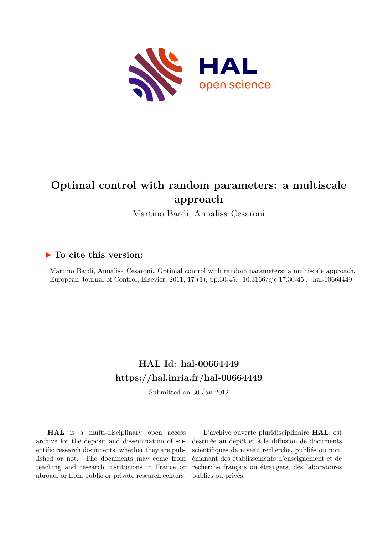

# **Optimal control with random parameters: a multiscale approach**

Martino Bardi, Annalisa Cesaroni

# **To cite this version:**

Martino Bardi, Annalisa Cesaroni. Optimal control with random parameters: a multiscale approach. European Journal of Control, Elsevier, 2011, 17 (1), pp.30-45. 10.3166/ejc.17.30-45. hal-00664449

# **HAL Id: hal-00664449 <https://hal.inria.fr/hal-00664449>**

Submitted on 30 Jan 2012

**HAL** is a multi-disciplinary open access archive for the deposit and dissemination of scientific research documents, whether they are published or not. The documents may come from teaching and research institutions in France or abroad, or from public or private research centers.

L'archive ouverte pluridisciplinaire **HAL**, est destinée au dépôt et à la diffusion de documents scientifiques de niveau recherche, publiés ou non, émanant des établissements d'enseignement et de recherche français ou étrangers, des laboratoires publics ou privés.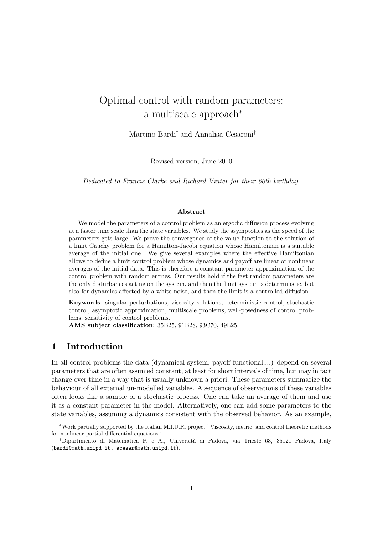# Optimal control with random parameters: a multiscale approach<sup>∗</sup>

Martino Bardi† and Annalisa Cesaroni†

Revised version, June 2010

Dedicated to Francis Clarke and Richard Vinter for their 60th birthday.

#### Abstract

We model the parameters of a control problem as an ergodic diffusion process evolving at a faster time scale than the state variables. We study the asymptotics as the speed of the parameters gets large. We prove the convergence of the value function to the solution of a limit Cauchy problem for a Hamilton-Jacobi equation whose Hamiltonian is a suitable average of the initial one. We give several examples where the effective Hamiltonian allows to define a limit control problem whose dynamics and payoff are linear or nonlinear averages of the initial data. This is therefore a constant-parameter approximation of the control problem with random entries. Our results hold if the fast random parameters are the only disturbances acting on the system, and then the limit system is deterministic, but also for dynamics affected by a white noise, and then the limit is a controlled diffusion.

Keywords: singular perturbations, viscosity solutions, deterministic control, stochastic control, asymptotic approximation, multiscale problems, well-posedness of control problems, sensitivity of control problems.

AMS subject classification: 35B25, 91B28, 93C70, 49L25.

# 1 Introduction

In all control problems the data (dynamical system, payoff functional,...) depend on several parameters that are often assumed constant, at least for short intervals of time, but may in fact change over time in a way that is usually unknown a priori. These parameters summarize the behaviour of all external un-modelled variables. A sequence of observations of these variables often looks like a sample of a stochastic process. One can take an average of them and use it as a constant parameter in the model. Alternatively, one can add some parameters to the state variables, assuming a dynamics consistent with the observed behavior. As an example,

<sup>∗</sup>Work partially supported by the Italian M.I.U.R. project "Viscosity, metric, and control theoretic methods for nonlinear partial differential equations".

<sup>†</sup>Dipartimento di Matematica P. e A., Universit`a di Padova, via Trieste 63, 35121 Padova, Italy (bardi@math.unipd.it, acesar@math.unipd.it).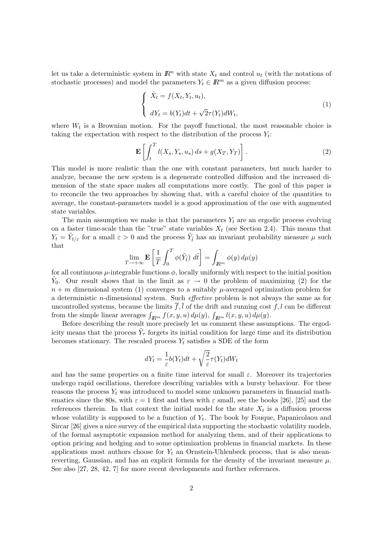let us take a deterministic system in  $\mathbb{R}^n$  with state  $X_t$  and control  $u_t$  (with the notations of stochastic processes) and model the parameters  $Y_t \in \mathbb{R}^m$  as a given diffusion process:

$$
\begin{cases} \n\dot{X}_t = f(X_t, Y_t, u_t), \\ \ndY_t = b(Y_t)dt + \sqrt{2}\tau(Y_t)dW_t,\n\end{cases} \tag{1}
$$

where  $W_t$  is a Brownian motion. For the payoff functional, the most reasonable choice is taking the expectation with respect to the distribution of the process  $Y_t$ :

$$
\mathbf{E}\left[\int_{t}^{T} l(X_s, Y_s, u_s) ds + g(X_T, Y_T)\right].
$$
\n(2)

This model is more realistic than the one with constant parameters, but much harder to analyze, because the new system is a degenerate controlled diffusion and the increased dimension of the state space makes all computations more costly. The goal of this paper is to reconcile the two approaches by showing that, with a careful choice of the quantities to average, the constant-parameters model is a good approximation of the one with augmented state variables.

The main assumption we make is that the parameters  $Y_t$  are an ergodic process evolving on a faster time-scale than the "true" state variables  $X_t$  (see Section 2.4). This means that  $Y_t = \tilde{Y}_{t/\varepsilon}$  for a small  $\varepsilon > 0$  and the process  $\tilde{Y}_t$  has an invariant probability measure  $\mu$  such that

$$
\lim_{T \to +\infty} \mathbf{E} \left[ \frac{1}{T} \int_0^T \phi(\tilde{Y}_t) \ d\tilde{t} \right] = \int_{\mathbb{R}^m} \phi(y) \, d\mu(y)
$$

for all continuous  $\mu$ -integrable functions  $\phi$ , locally uniformly with respect to the initial position  $\tilde{Y}_0$ . Our result shows that in the limit as  $\varepsilon \to 0$  the problem of maximizing (2) for the  $n + m$  dimensional system (1) converges to a suitably  $\mu$ -averaged optimization problem for a deterministic n-dimensional system. Such effective problem is not always the same as for uncontrolled systems, because the limits  $\overline{f}$ ,  $\overline{l}$  of the drift and running cost  $f$ , l can be different from the simple linear averages  $\int_{\mathbb{R}^m} f(x, y, u) d\mu(y)$ ,  $\int_{\mathbb{R}^m} l(x, y, u) d\mu(y)$ .

Before describing the result more precisely let us comment these assumptions. The ergodicity means that the process  $\tilde{Y}_{\tau}$  forgets its initial condition for large time and its distribution becomes stationary. The rescaled process  $Y_t$  satisfies a SDE of the form

$$
dY_t = \frac{1}{\varepsilon}b(Y_t)dt + \sqrt{\frac{2}{\varepsilon}}\tau(Y_t)dW_t
$$

and has the same properties on a finite time interval for small  $\varepsilon$ . Moreover its trajectories undergo rapid oscillations, therefore describing variables with a bursty behaviour. For these reasons the process  $Y_t$  was introduced to model some unknown parameters in financial mathematics since the 80s, with  $\varepsilon = 1$  first and then with  $\varepsilon$  small, see the books [26], [25] and the references therein. In that context the initial model for the state  $X_t$  is a diffusion process whose volatility is supposed to be a function of  $Y_t$ . The book by Fouque, Papanicolaou and Sircar [26] gives a nice survey of the empirical data supporting the stochastic volatility models, of the formal asymptotic expansion method for analyzing them, and of their applications to option pricing and hedging and to some optimization problems in financial markets. In these applications most authors choose for  $Y_t$  an Ornstein-Uhlenbeck process, that is also meanreverting, Gaussian, and has an explicit formula for the density of the invariant measure  $\mu$ . See also [27, 28, 42, 7] for more recent developments and further references.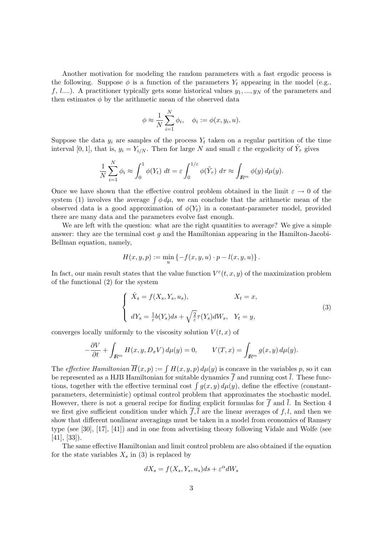Another motivation for modeling the random parameters with a fast ergodic process is the following. Suppose  $\phi$  is a function of the parameters  $Y_t$  appearing in the model (e.g., f, l....). A practitioner typically gets some historical values  $y_1, ..., y_N$  of the parameters and then estimates  $\phi$  by the arithmetic mean of the observed data

$$
\phi \approx \frac{1}{N} \sum_{i=1}^{N} \phi_i, \quad \phi_i := \phi(x, y_i, u).
$$

Suppose the data  $y_i$  are samples of the process  $Y_t$  taken on a regular partition of the time interval [0, 1], that is,  $y_i = Y_{i/N}$ . Then for large N and small  $\varepsilon$  the ergodicity of  $\tilde{Y}_{\tau}$  gives

$$
\frac{1}{N}\sum_{i=1}^N \phi_i \approx \int_0^1 \phi(Y_t) \ dt = \varepsilon \int_0^{1/\varepsilon} \phi(\tilde{Y}_\tau) \ d\tau \approx \int_{\mathbb{R}^m} \phi(y) \ d\mu(y).
$$

Once we have shown that the effective control problem obtained in the limit  $\varepsilon \to 0$  of the system (1) involves the average  $\int \phi \, d\mu$ , we can conclude that the arithmetic mean of the observed data is a good approximation of  $\phi(Y_t)$  in a constant-parameter model, provided there are many data and the parameters evolve fast enough.

We are left with the question: what are the right quantities to average? We give a simple answer: they are the terminal cost  $q$  and the Hamiltonian appearing in the Hamilton-Jacobi-Bellman equation, namely,

$$
H(x, y, p) := \min_{u} \{ -f(x, y, u) \cdot p - l(x, y, u) \}.
$$

In fact, our main result states that the value function  $V^{\varepsilon}(t, x, y)$  of the maximization problem of the functional (2) for the system

$$
\begin{cases}\n\dot{X}_s = f(X_s, Y_s, u_s), & X_t = x, \\
dY_s = \frac{1}{\varepsilon} b(Y_s) ds + \sqrt{\frac{2}{\varepsilon}} \tau(Y_s) dW_s, & Y_t = y,\n\end{cases}
$$
\n(3)

converges locally uniformly to the viscosity solution  $V(t, x)$  of

$$
-\frac{\partial V}{\partial t} + \int_{\mathbb{R}^m} H(x, y, D_x V) d\mu(y) = 0, \qquad V(T, x) = \int_{\mathbb{R}^m} g(x, y) d\mu(y).
$$

The *effective Hamiltonian*  $\overline{H}(x, p) := \int H(x, y, p) d\mu(y)$  is concave in the variables p, so it can be represented as a HJB Hamiltonian for suitable dynamics  $\overline{f}$  and running cost  $\overline{l}$ . These functions, together with the effective terminal cost  $\int g(x, y) d\mu(y)$ , define the effective (constantparameters, deterministic) optimal control problem that approximates the stochastic model. However, there is not a general recipe for finding explicit formulas for  $\overline{f}$  and  $\overline{l}$ . In Section 4 we first give sufficient condition under which  $f, l$  are the linear averages of  $f, l$ , and then we show that different nonlinear averagings must be taken in a model from economics of Ramsey type (see [30], [17], [41]) and in one from advertising theory following Vidale and Wolfe (see  $[41]$ ,  $[33]$ ).

The same effective Hamiltonian and limit control problem are also obtained if the equation for the state variables  $X_s$  in (3) is replaced by

$$
dX_s = f(X_s, Y_s, u_s)ds + \varepsilon^{\alpha}dW_s
$$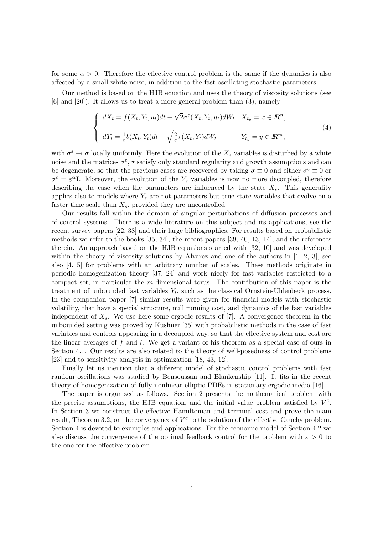for some  $\alpha > 0$ . Therefore the effective control problem is the same if the dynamics is also affected by a small white noise, in addition to the fast oscillating stochastic parameters.

Our method is based on the HJB equation and uses the theory of viscosity solutions (see [6] and [20]). It allows us to treat a more general problem than (3), namely

$$
\begin{cases}\ndX_t = f(X_t, Y_t, u_t)dt + \sqrt{2}\sigma^{\varepsilon}(X_t, Y_t, u_t)dW_t & X_{t_o} = x \in \mathbb{R}^n, \\
dY_t = \frac{1}{\varepsilon}b(X_t, Y_t)dt + \sqrt{\frac{2}{\varepsilon}}\tau(X_t, Y_t)dW_t & Y_{t_o} = y \in \mathbb{R}^m,\n\end{cases}
$$
\n(4)

with  $\sigma^{\varepsilon} \to \sigma$  locally uniformly. Here the evolution of the  $X_s$  variables is disturbed by a white noise and the matrices  $\sigma^{\varepsilon}$ ,  $\sigma$  satisfy only standard regularity and growth assumptions and can be degenerate, so that the previous cases are recovered by taking  $\sigma \equiv 0$  and either  $\sigma^{\epsilon} \equiv 0$  or  $\sigma^{\varepsilon} = \varepsilon^{\alpha} I$ . Moreover, the evolution of the Y<sub>s</sub> variables is now no more decoupled, therefore describing the case when the parameters are influenced by the state  $X_s$ . This generality applies also to models where  $Y_s$  are not parameters but true state variables that evolve on a faster time scale than  $X_s$ , provided they are uncontrolled.

Our results fall within the domain of singular perturbations of diffusion processes and of control systems. There is a wide literature on this subject and its applications, see the recent survey papers [22, 38] and their large bibliographies. For results based on probabilistic methods we refer to the books [35, 34], the recent papers [39, 40, 13, 14], and the references therein. An approach based on the HJB equations started with [32, 10] and was developed within the theory of viscosity solutions by Alvarez and one of the authors in  $[1, 2, 3]$ , see also [4, 5] for problems with an arbitrary number of scales. These methods originate in periodic homogenization theory [37, 24] and work nicely for fast variables restricted to a compact set, in particular the m-dimensional torus. The contribution of this paper is the treatment of unbounded fast variables  $Y_t$ , such as the classical Ornstein-Uhlenbeck process. In the companion paper [7] similar results were given for financial models with stochastic volatility, that have a special structure, null running cost, and dynamics of the fast variables independent of  $X_s$ . We use here some ergodic results of [7]. A convergence theorem in the unbounded setting was proved by Kushner [35] with probabilistic methods in the case of fast variables and controls appearing in a decoupled way, so that the effective system and cost are the linear averages of  $f$  and  $l$ . We get a variant of his theorem as a special case of ours in Section 4.1. Our results are also related to the theory of well-posedness of control problems [23] and to sensitivity analysis in optimization [18, 43, 12].

Finally let us mention that a different model of stochastic control problems with fast random oscillations was studied by Bensoussan and Blankenship [11]. It fits in the recent theory of homogenization of fully nonlinear elliptic PDEs in stationary ergodic media [16].

The paper is organized as follows. Section 2 presents the mathematical problem with the precise assumptions, the HJB equation, and the initial value problem satisfied by  $V^{\varepsilon}$ . In Section 3 we construct the effective Hamiltonian and terminal cost and prove the main result, Theorem 3.2, on the convergence of  $V^{\varepsilon}$  to the solution of the effective Cauchy problem. Section 4 is devoted to examples and applications. For the economic model of Section 4.2 we also discuss the convergence of the optimal feedback control for the problem with  $\varepsilon > 0$  to the one for the effective problem.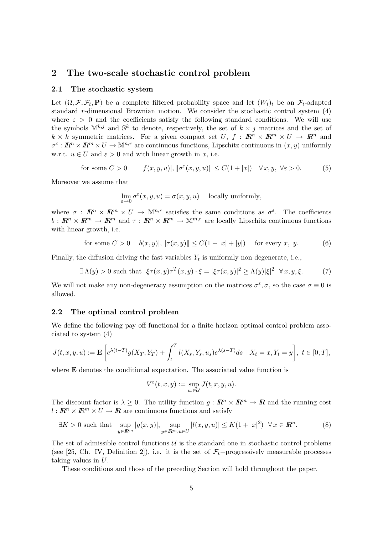# 2 The two-scale stochastic control problem

#### 2.1 The stochastic system

Let  $(\Omega, \mathcal{F}, \mathcal{F}_t, \mathbf{P})$  be a complete filtered probability space and let  $(W_t)_t$  be an  $\mathcal{F}_t$ -adapted standard r-dimensional Brownian motion. We consider the stochastic control system (4) where  $\varepsilon > 0$  and the coefficients satisfy the following standard conditions. We will use the symbols  $\mathbb{M}^{k,j}$  and  $\mathbb{S}^k$  to denote, respectively, the set of  $k \times j$  matrices and the set of  $k \times k$  symmetric matrices. For a given compact set U,  $f : \mathbb{R}^n \times \mathbb{R}^m \times U \to \mathbb{R}^n$  and  $\sigma^{\varepsilon}: \mathbb{R}^n \times \mathbb{R}^m \times U \to \mathbb{M}^{n,r}$  are continuous functions, Lipschitz continuous in  $(x, y)$  uniformly w.r.t.  $u \in U$  and  $\varepsilon > 0$  and with linear growth in x, i.e.

for some 
$$
C > 0
$$
  $|f(x, y, u)|, ||\sigma^{\varepsilon}(x, y, u)|| \le C(1 + |x|) \quad \forall x, y, \forall \varepsilon > 0.$  (5)

Moreover we assume that

$$
\lim_{\varepsilon \to 0} \sigma^{\varepsilon}(x, y, u) = \sigma(x, y, u) \quad \text{locally uniformly},
$$

where  $\sigma : \mathbb{R}^n \times \mathbb{R}^m \times U \to \mathbb{M}^{n,r}$  satisfies the same conditions as  $\sigma^{\varepsilon}$ . The coefficients  $b: \mathbb{R}^n \times \mathbb{R}^m \to \mathbb{R}^m$  and  $\tau: \mathbb{R}^n \times \mathbb{R}^m \to \mathbb{M}^{m,r}$  are locally Lipschitz continuous functions with linear growth, i.e.

for some 
$$
C > 0
$$
  $|b(x, y)|, ||\tau(x, y)|| \le C(1 + |x| + |y|)$  for every x, y. (6)

Finally, the diffusion driving the fast variables  $Y_t$  is uniformly non degenerate, i.e.,

$$
\exists \Lambda(y) > 0 \text{ such that } \xi \tau(x, y) \tau^T(x, y) \cdot \xi = |\xi \tau(x, y)|^2 \ge \Lambda(y) |\xi|^2 \quad \forall x, y, \xi. \tag{7}
$$

We will not make any non-degeneracy assumption on the matrices  $\sigma^{\varepsilon}, \sigma$ , so the case  $\sigma \equiv 0$  is allowed.

#### 2.2 The optimal control problem

We define the following pay off functional for a finite horizon optimal control problem associated to system (4)

$$
J(t, x, y, u) := \mathbf{E}\left[e^{\lambda(t-T)}g(X_T, Y_T) + \int_t^T l(X_s, Y_s, u_s)e^{\lambda(s-T)}ds \mid X_t = x, Y_t = y\right], \ t \in [0, T],
$$

where **E** denotes the conditional expectation. The associated value function is

$$
V^{\varepsilon}(t,x,y):=\sup_{u\, \in \mathcal{U}} J(t,x,y,u).
$$

The discount factor is  $\lambda \geq 0$ . The utility function  $g: \mathbb{R}^n \times \mathbb{R}^m \to \mathbb{R}$  and the running cost  $l: \mathbb{R}^n \times \mathbb{R}^m \times U \to \mathbb{R}$  are continuous functions and satisfy

$$
\exists K > 0 \text{ such that } \sup_{y \in \mathbb{R}^m} |g(x, y)|, \sup_{y \in \mathbb{R}^m, u \in U} |l(x, y, u)| \le K(1 + |x|^2) \quad \forall x \in \mathbb{R}^n. \tag{8}
$$

The set of admissible control functions  $U$  is the standard one in stochastic control problems (see [25, Ch. IV, Definition 2]), i.e. it is the set of  $\mathcal{F}_t$ -progressively measurable processes taking values in U.

These conditions and those of the preceding Section will hold throughout the paper.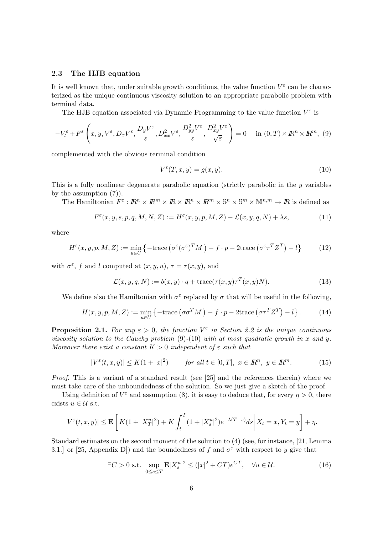### 2.3 The HJB equation

It is well known that, under suitable growth conditions, the value function  $V^{\varepsilon}$  can be characterized as the unique continuous viscosity solution to an appropriate parabolic problem with terminal data.

The HJB equation associated via Dynamic Programming to the value function  $V^{\varepsilon}$  is

$$
-V_t^{\varepsilon} + F^{\varepsilon} \left( x, y, V^{\varepsilon}, D_x V^{\varepsilon}, \frac{D_y V^{\varepsilon}}{\varepsilon}, D_{xx}^2 V^{\varepsilon}, \frac{D_{yy}^2 V^{\varepsilon}}{\varepsilon}, \frac{D_{xy}^2 V^{\varepsilon}}{\sqrt{\varepsilon}} \right) = 0 \quad \text{in } (0, T) \times I\!\!R^n \times I\!\!R^m, (9)
$$

complemented with the obvious terminal condition

$$
V^{\varepsilon}(T, x, y) = g(x, y). \tag{10}
$$

This is a fully nonlinear degenerate parabolic equation (strictly parabolic in the  $\gamma$  variables by the assumption (7)).

The Hamiltonian  $F^{\varepsilon}: \mathbb{R}^n \times \mathbb{R}^m \times \mathbb{R}^n \times \mathbb{R}^m \times \mathbb{S}^n \times \mathbb{S}^m \times \mathbb{M}^{n,m} \to \mathbb{R}$  is defined as

$$
F^{\varepsilon}(x, y, s, p, q, M, N, Z) := H^{\varepsilon}(x, y, p, M, Z) - \mathcal{L}(x, y, q, N) + \lambda s,
$$
\n(11)

where

$$
H^{\varepsilon}(x, y, p, M, Z) := \min_{u \in U} \left\{ -\text{trace} \left( \sigma^{\varepsilon} (\sigma^{\varepsilon})^T M \right) - f \cdot p - 2 \text{trace} \left( \sigma^{\varepsilon} \tau^T Z^T \right) - l \right\}
$$
(12)

with  $\sigma^{\varepsilon}$ , f and l computed at  $(x, y, u)$ ,  $\tau = \tau(x, y)$ , and

$$
\mathcal{L}(x, y, q, N) := b(x, y) \cdot q + \text{trace}(\tau(x, y)\tau^{T}(x, y)N).
$$
\n(13)

We define also the Hamiltonian with  $\sigma^{\varepsilon}$  replaced by  $\sigma$  that will be useful in the following,

$$
H(x, y, p, M, Z) := \min_{u \in U} \left\{ -\text{trace} \left( \sigma \sigma^T M \right) - f \cdot p - 2 \text{trace} \left( \sigma \tau^T Z^T \right) - l \right\}. \tag{14}
$$

**Proposition 2.1.** For any  $\varepsilon > 0$ , the function  $V^{\varepsilon}$  in Section 2.2 is the unique continuous viscosity solution to the Cauchy problem  $(9)-(10)$  with at most quadratic growth in x and y. Moreover there exist a constant  $K > 0$  independent of  $\varepsilon$  such that

$$
|V^{\varepsilon}(t,x,y)| \le K(1+|x|^2) \qquad \text{for all } t \in [0,T], \ x \in \mathbb{R}^n, \ y \in \mathbb{R}^m. \tag{15}
$$

Proof. This is a variant of a standard result (see [25] and the references therein) where we must take care of the unboundedness of the solution. So we just give a sketch of the proof.

Using definition of  $V^{\varepsilon}$  and assumption (8), it is easy to deduce that, for every  $\eta > 0$ , there exists  $u \in \mathcal{U}$  s.t.

$$
|V^{\varepsilon}(t,x,y)| \leq \mathbf{E}\left[K(1+|X^u_T|^2) + K\int_t^T (1+|X^u_s|^2)e^{-\lambda(T-s)}ds\right|X_t=x, Y_t=y\right] + \eta.
$$

Standard estimates on the second moment of the solution to (4) (see, for instance, [21, Lemma 3.1.] or [25, Appendix D]) and the boundedness of f and  $\sigma^{\epsilon}$  with respect to y give that

$$
\exists C > 0 \text{ s.t. } \sup_{0 \le s \le T} \mathbf{E} |X_s^u|^2 \le (|x|^2 + CT)e^{CT}, \quad \forall u \in \mathcal{U}. \tag{16}
$$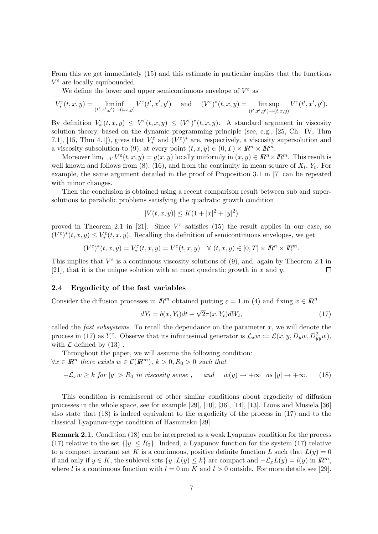From this we get immediately (15) and this estimate in particular implies that the functions  $V^{\varepsilon}$  are locally equibounded.

We define the lower and upper semicontinuous envelope of  $V^{\varepsilon}$  as

$$
V_*^{\varepsilon}(t,x,y) = \liminf_{(t',x',y') \to (t,x,y)} V^{\varepsilon}(t',x',y') \quad \text{ and } \quad (V^{\varepsilon})^*(t,x,y) = \limsup_{(t',x',y') \to (t,x,y)} V^{\varepsilon}(t',x',y').
$$

By definition  $V_*^{\varepsilon}(t,x,y) \leq V^{\varepsilon}(t,x,y) \leq (V^{\varepsilon})^*(t,x,y)$ . A standard argument in viscosity solution theory, based on the dynamic programming principle (see, e.g., [25, Ch. IV, Thm 7.1], [15, Thm 4.1]), gives that  $V_*^{\varepsilon}$  and  $(V^{\varepsilon})^*$  are, respectively, a viscosity supersolution and a viscosity subsolution to (9), at every point  $(t, x, y) \in (0, T) \times \mathbb{R}^n \times \mathbb{R}^m$ .

Moreover  $\lim_{t\to T} V^{\varepsilon}(t,x,y) = g(x,y)$  locally uniformly in  $(x,y) \in \mathbb{R}^n \times \mathbb{R}^m$ . This result is well known and follows from  $(8)$ ,  $(16)$ , and from the continuity in mean square of  $X_t$ ,  $Y_t$ . For example, the same argument detailed in the proof of Proposition 3.1 in [7] can be repeated with minor changes.

Then the conclusion is obtained using a recent comparison result between sub and supersolutions to parabolic problems satisfying the quadratic growth condition

$$
|V(t, x, y)| \le K(1 + |x|^2 + |y|^2)
$$

proved in Theorem 2.1 in [21]. Since  $V^{\varepsilon}$  satisfies (15) the result applies in our case, so  $(V^{\varepsilon})^*(t, x, y) \leq V^{\varepsilon}_*(t, x, y)$ . Recalling the definition of semicontinuous envelopes, we get

$$
(V^{\varepsilon})^*(t, x, y) = V^{\varepsilon}_*(t, x, y) = V^{\varepsilon}(t, x, y) \quad \forall (t, x, y) \in [0, T] \times \mathbb{R}^n \times \mathbb{R}^m.
$$

This implies that  $V^{\varepsilon}$  is a continuous viscosity solutions of (9), and, again by Theorem 2.1 in [21], that it is the unique solution with at most quadratic growth in  $x$  and  $y$ .  $\Box$ 

#### 2.4 Ergodicity of the fast variables

Consider the diffusion processes in  $\mathbb{R}^m$  obtained putting  $\varepsilon = 1$  in (4) and fixing  $x \in \mathbb{R}^n$ 

$$
dY_t = b(x, Y_t)dt + \sqrt{2}\tau(x, Y_t)dW_t,
$$
\n(17)

called the *fast subsystems*. To recall the dependance on the parameter  $x$ , we will denote the process in (17) as Y<sup>x</sup>. Observe that its infinitesimal generator is  $\mathcal{L}_x w := \mathcal{L}(x, y, D_y w, D_{yy}^2 w)$ , with  $\mathcal L$  defined by (13).

Throughout the paper, we will assume the following condition:  $\forall x \in \mathbb{R}^n$  there exists  $w \in \mathcal{C}(\mathbb{R}^m)$ ,  $k > 0, R_0 > 0$  such that

 $-\mathcal{L}_x w \ge k$  for  $|y| > R_0$  in viscosity sense, and  $w(y) \to +\infty$  as  $|y| \to +\infty$ . (18)

This condition is reminiscent of other similar conditions about ergodicity of diffusion processes in the whole space, see for example [29], [10], [36], [14], [13]. Lions and Musiela [36] also state that (18) is indeed equivalent to the ergodicity of the process in (17) and to the classical Lyapunov-type condition of Hasminskii [29].

Remark 2.1. Condition (18) can be interpreted as a weak Lyapunov condition for the process (17) relative to the set  $\{|y| \le R_0\}$ . Indeed, a Lyapunov function for the system (17) relative to a compact invariant set K is a continuous, positive definite function L such that  $L(y) = 0$ if and only if  $y \in K$ , the sublevel sets  $\{y \mid L(y) \leq k\}$  are compact and  $-\mathcal{L}_x L(y) = l(y)$  in  $\mathbb{R}^m$ , where l is a continuous function with  $l = 0$  on K and  $l > 0$  outside. For more details see [29].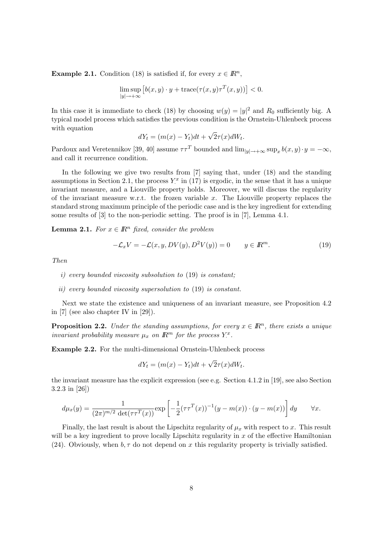**Example 2.1.** Condition (18) is satisfied if, for every  $x \in \mathbb{R}^n$ ,

$$
\limsup_{|y| \to +\infty} \left[ b(x, y) \cdot y + \text{trace}(\tau(x, y)\tau^T(x, y)) \right] < 0.
$$

In this case it is immediate to check (18) by choosing  $w(y) = |y|^2$  and  $R_0$  sufficiently big. A typical model process which satisfies the previous condition is the Ornstein-Uhlenbeck process with equation √

$$
dY_t = (m(x) - Y_t)dt + \sqrt{2\tau(x)}dW_t.
$$

Pardoux and Veretennikov [39, 40] assume  $\tau \tau^T$  bounded and  $\lim_{|y| \to +\infty} \sup_x b(x, y) \cdot y = -\infty$ , and call it recurrence condition.

In the following we give two results from [7] saying that, under (18) and the standing assumptions in Section 2.1, the process  $Y^x$  in (17) is ergodic, in the sense that it has a unique invariant measure, and a Liouville property holds. Moreover, we will discuss the regularity of the invariant measure w.r.t. the frozen variable  $x$ . The Liouville property replaces the standard strong maximum principle of the periodic case and is the key ingredient for extending some results of [3] to the non-periodic setting. The proof is in [7], Lemma 4.1.

**Lemma 2.1.** For  $x \in \mathbb{R}^n$  fixed, consider the problem

$$
-\mathcal{L}_x V = -\mathcal{L}(x, y, DV(y), D^2 V(y)) = 0 \qquad y \in \mathbb{R}^m. \tag{19}
$$

Then

- i) every bounded viscosity subsolution to (19) is constant;
- ii) every bounded viscosity supersolution to (19) is constant.

Next we state the existence and uniqueness of an invariant measure, see Proposition 4.2 in [7] (see also chapter IV in [29]).

**Proposition 2.2.** Under the standing assumptions, for every  $x \in \mathbb{R}^n$ , there exists a unique invariant probability measure  $\mu_x$  on  $\mathbb{R}^m$  for the process  $Y^x$ .

Example 2.2. For the multi-dimensional Ornstein-Uhlenbeck process

$$
dY_t = (m(x) - Y_t)dt + \sqrt{2}\tau(x)dW_t.
$$

the invariant measure has the explicit expression (see e.g. Section 4.1.2 in [19], see also Section 3.2.3 in [26])

$$
d\mu_x(y) = \frac{1}{(2\pi)^{m/2} \det(\tau \tau^T(x))} \exp\left[-\frac{1}{2}(\tau \tau^T(x))^{-1}(y-m(x))\cdot (y-m(x))\right] dy \quad \forall x.
$$

Finally, the last result is about the Lipschitz regularity of  $\mu_x$  with respect to x. This result will be a key ingredient to prove locally Lipschitz regularity in  $x$  of the effective Hamiltonian (24). Obviously, when  $b, \tau$  do not depend on x this regularity property is trivially satisfied.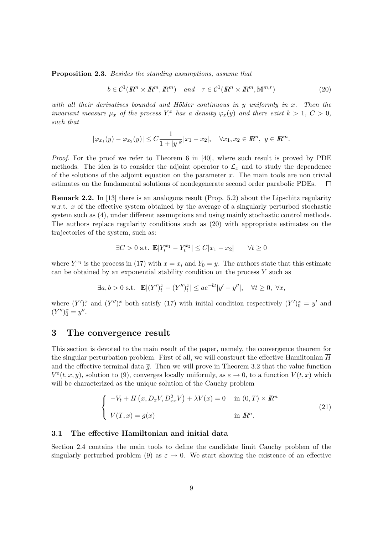Proposition 2.3. Besides the standing assumptions, assume that

$$
b \in \mathcal{C}^1(\mathbb{R}^n \times \mathbb{R}^m, \mathbb{R}^m) \quad \text{and} \quad \tau \in \mathcal{C}^1(\mathbb{R}^n \times \mathbb{R}^m, \mathbb{M}^{m,r}) \tag{20}
$$

with all their derivatives bounded and Hölder continuous in y uniformly in  $x$ . Then the invariant measure  $\mu_x$  of the process Y<sup>x</sup> has a density  $\varphi_x(y)$  and there exist  $k > 1$ ,  $C > 0$ , such that

$$
|\varphi_{x_1}(y) - \varphi_{x_2}(y)| \le C \frac{1}{1+|y|^k} |x_1 - x_2|, \quad \forall x_1, x_2 \in \mathbb{R}^n, \ y \in \mathbb{R}^m.
$$

Proof. For the proof we refer to Theorem 6 in [40], where such result is proved by PDE methods. The idea is to consider the adjoint operator to  $\mathcal{L}_x$  and to study the dependence of the solutions of the adjoint equation on the parameter  $x$ . The main tools are non trivial estimates on the fundamental solutions of nondegenerate second order parabolic PDEs.  $\Box$ 

Remark 2.2. In [13] there is an analogous result (Prop. 5.2) about the Lipschitz regularity w.r.t.  $x$  of the effective system obtained by the average of a singularly perturbed stochastic system such as (4), under different assumptions and using mainly stochastic control methods. The authors replace regularity conditions such as (20) with appropriate estimates on the trajectories of the system, such as:

$$
\exists C > 0 \text{ s.t. } \mathbf{E}|Y_t^{x_1} - Y_t^{x_2}| \le C|x_1 - x_2| \qquad \forall t \ge 0
$$

where  $Y_i^{x_i}$  is the process in (17) with  $x = x_i$  and  $Y_0 = y$ . The authors state that this estimate can be obtained by an exponential stability condition on the process  $Y$  such as

$$
\exists a, b > 0 \text{ s.t. } \mathbf{E} | (Y')_t^x - (Y'')_t^x | \le a e^{-bt} |y' - y''|, \quad \forall t \ge 0, \ \forall x,
$$

where  $(Y')^x$  and  $(Y'')^x$  both satisfy (17) with initial condition respectively  $(Y')^x_0 = y'$  and  $(Y'')_0^x = y''$ .

# 3 The convergence result

This section is devoted to the main result of the paper, namely, the convergence theorem for the singular perturbation problem. First of all, we will construct the effective Hamiltonian  $\overline{H}$ and the effective terminal data  $\bar{q}$ . Then we will prove in Theorem 3.2 that the value function  $V^{\varepsilon}(t,x,y)$ , solution to (9), converges locally uniformly, as  $\varepsilon \to 0$ , to a function  $V(t,x)$  which will be characterized as the unique solution of the Cauchy problem

$$
\begin{cases}\n-V_t + \overline{H}(x, D_x V, D_{xx}^2 V) + \lambda V(x) = 0 & \text{in } (0, T) \times I\!\!R^n \\
V(T, x) = \overline{g}(x) & \text{in } I\!\!R^n.\n\end{cases}
$$
\n(21)

#### 3.1 The effective Hamiltonian and initial data

Section 2.4 contains the main tools to define the candidate limit Cauchy problem of the singularly perturbed problem (9) as  $\varepsilon \to 0$ . We start showing the existence of an effective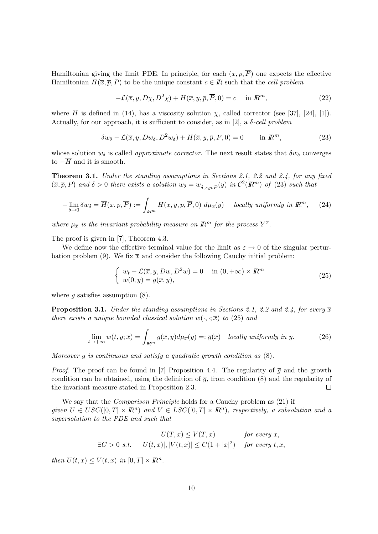Hamiltonian giving the limit PDE. In principle, for each  $(\bar{x}, \bar{p}, \bar{P})$  one expects the effective Hamiltonian  $\overline{H}(\overline{x}, \overline{p}, \overline{P})$  to be the unique constant  $c \in \mathbb{R}$  such that the cell problem

$$
-\mathcal{L}(\overline{x}, y, D\chi, D^2\chi) + H(\overline{x}, y, \overline{p}, \overline{P}, 0) = c \quad \text{in } \mathbb{R}^m,
$$
\n(22)

where H is defined in (14), has a viscosity solution  $\chi$ , called corrector (see [37], [24], [1]). Actually, for our approach, it is sufficient to consider, as in [2], a  $\delta$ -cell problem

$$
\delta w_{\delta} - \mathcal{L}(\overline{x}, y, Dw_{\delta}, D^2 w_{\delta}) + H(\overline{x}, y, \overline{p}, \overline{P}, 0) = 0 \quad \text{in } \mathbb{R}^m,
$$
 (23)

whose solution  $w_{\delta}$  is called *approximate corrector*. The next result states that  $\delta w_{\delta}$  converges to  $-\overline{H}$  and it is smooth.

Theorem 3.1. Under the standing assumptions in Sections 2.1, 2.2 and 2.4, for any fixed  $(\overline{x}, \overline{p}, \overline{P})$  and  $\delta > 0$  there exists a solution  $w_{\delta} = w_{\delta; \overline{x}, \overline{p}, \overline{P}}(y)$  in  $\mathcal{C}^2(\mathbb{R}^m)$  of (23) such that

$$
-\lim_{\delta \to 0} \delta w_{\delta} = \overline{H}(\overline{x}, \overline{p}, \overline{P}) := \int_{\mathbb{R}^m} H(\overline{x}, y, \overline{p}, \overline{P}, 0) \ d\mu_{\overline{x}}(y) \quad \text{locally uniformly in } \mathbb{R}^m, \tag{24}
$$

where  $\mu_{\overline{x}}$  is the invariant probability measure on  $\mathbb{R}^m$  for the process  $Y^{\overline{x}}$ .

The proof is given in [7], Theorem 4.3.

We define now the effective terminal value for the limit as  $\varepsilon \to 0$  of the singular perturbation problem (9). We fix  $\bar{x}$  and consider the following Cauchy initial problem:

$$
\begin{cases}\nw_t - \mathcal{L}(\overline{x}, y, Dw, D^2w) = 0 & \text{in } (0, +\infty) \times \mathbb{R}^m \\
w(0, y) = g(\overline{x}, y),\n\end{cases} \tag{25}
$$

where q satisfies assumption  $(8)$ .

**Proposition 3.1.** Under the standing assumptions in Sections 2.1, 2.2 and 2.4, for every  $\overline{x}$ there exists a unique bounded classical solution  $w(\cdot, \cdot; \overline{x})$  to (25) and

$$
\lim_{t \to +\infty} w(t, y; \overline{x}) = \int_{\mathbb{R}^m} g(\overline{x}, y) d\mu_{\overline{x}}(y) =: \overline{g}(\overline{x}) \quad locally \text{ uniformly in } y. \tag{26}
$$

Moreover  $\bar{g}$  is continuous and satisfy a quadratic growth condition as  $(8)$ .

*Proof.* The proof can be found in [7] Proposition 4.4. The regularity of  $\overline{g}$  and the growth condition can be obtained, using the definition of  $\bar{q}$ , from condition (8) and the regularity of the invariant measure stated in Proposition 2.3.  $\Box$ 

We say that the *Comparison Principle* holds for a Cauchy problem as  $(21)$  if given  $U \in USC([0,T] \times \mathbb{R}^n)$  and  $V \in LSC([0,T] \times \mathbb{R}^n)$ , respectively, a subsolution and a supersolution to the PDE and such that

$$
U(T, x) \le V(T, x) \qquad \text{for every } x,
$$
  
\n
$$
\exists C > 0 \text{ s.t. } |U(t, x)|, |V(t, x)| \le C(1 + |x|^2) \qquad \text{for every } t, x,
$$

then  $U(t, x) \leq V(t, x)$  in  $[0, T] \times \mathbb{R}^n$ .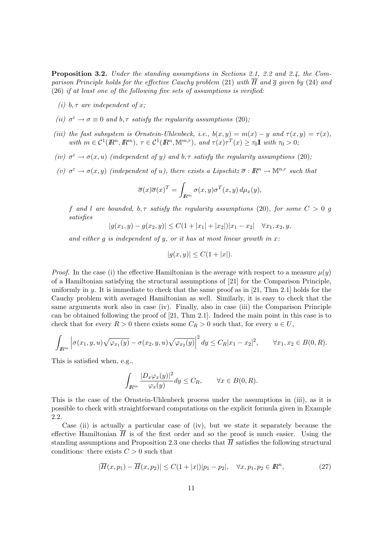Proposition 3.2. Under the standing assumptions in Sections 2.1, 2.2 and 2.4, the Comparison Principle holds for the effective Cauchy problem (21) with  $\overline{H}$  and  $\overline{q}$  given by (24) and (26) if at least one of the following five sets of assumptions is verified:

- (i) b,  $\tau$  are independent of x;
- (ii)  $\sigma^{\varepsilon} \to \sigma \equiv 0$  and  $b, \tau$  satisfy the regularity assumptions (20);
- (iii) the fast subsystem is Ornstein-Uhlenbeck, i.e.,  $b(x, y) = m(x) y$  and  $\tau(x, y) = \tau(x)$ , with  $m \in \mathcal{C}^1(\mathbb{R}^n, \mathbb{R}^m)$ ,  $\tau \in \mathcal{C}^1(\mathbb{R}^n, \mathbb{M}^{m,r})$ , and  $\tau(x)\tau^T(x) \geq \tau_0 \mathbf{I}$  with  $\tau_0 > 0$ ,
- (iv)  $\sigma^{\varepsilon} \to \sigma(x, u)$  (independent of y) and b,  $\tau$  satisfy the regularity assumptions (20);
- (v)  $\sigma^{\varepsilon} \to \sigma(x, y)$  (independent of u), there exists a Lipschitz  $\overline{\sigma}: \mathbb{R}^n \to \mathbb{M}^{n,r}$  such that

$$
\overline{\sigma}(x)\overline{\sigma}(x)^T = \int_{\mathbb{R}^m} \sigma(x,y)\sigma^T(x,y) \, d\mu_x(y),
$$

f and l are bounded,  $b, \tau$  satisfy the regularity assumptions (20), for some  $C > 0$  g satisfies

$$
|g(x_1, y) - g(x_2, y)| \le C(1 + |x_1| + |x_2|)|x_1 - x_2| \quad \forall x_1, x_2, y,
$$

and either  $g$  is independent of  $y$ , or it has at most linear growth in  $x$ :

$$
|g(x,y)| \leq C(1+|x|).
$$

*Proof.* In the case (i) the effective Hamiltonian is the average with respect to a measure  $\mu(y)$ of a Hamiltonian satisfying the structural assumptions of [21] for the Comparison Principle, uniformly in y. It is immediate to check that the same proof as in [21, Thm 2.1] holds for the Cauchy problem with averaged Hamiltonian as well. Similarly, it is easy to check that the same arguments work also in case (iv). Finally, also in case (iii) the Comparison Principle can be obtained following the proof of [21, Thm 2.1]. Indeed the main point in this case is to check that for every  $R > 0$  there exists some  $C_R > 0$  such that, for every  $u \in U$ ,

$$
\int_{\mathbb{R}^m} \left| \sigma(x_1, y, u) \sqrt{\varphi_{x_1}(y)} - \sigma(x_2, y, u) \sqrt{\varphi_{x_2}(y)} \right|^2 dy \le C_R |x_1 - x_2|^2, \qquad \forall x_1, x_2 \in B(0, R).
$$

This is satisfied when, e.g.,

$$
\int_{\mathbb{R}^m} \frac{|D_x \varphi_x(y)|^2}{\varphi_x(y)} dy \le C_R, \qquad \forall x \in B(0, R).
$$

This is the case of the Ornstein-Uhlenbeck process under the assumptions in (iii), as it is possible to check with straightforward computations on the explicit formula given in Example 2.2.

Case (ii) is actually a particular case of (iv), but we state it separately because the effective Hamiltonian  $\overline{H}$  is of the first order and so the proof is much easier. Using the standing assumptions and Proposition 2.3 one checks that  $\overline{H}$  satisfies the following structural conditions: there exists  $C > 0$  such that

$$
|\overline{H}(x, p_1) - \overline{H}(x, p_2)| \le C(1+|x|)|p_1 - p_2|, \quad \forall x, p_1, p_2 \in \mathbb{R}^n,
$$
\n(27)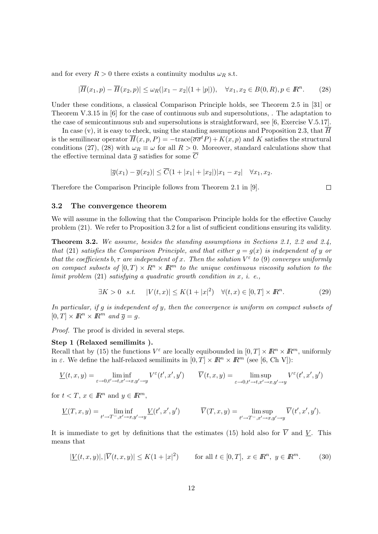and for every  $R > 0$  there exists a continuity modulus  $\omega_R$  s.t.

$$
|\overline{H}(x_1, p) - \overline{H}(x_2, p)| \le \omega_R(|x_1 - x_2|(1 + |p|)), \quad \forall x_1, x_2 \in B(0, R), p \in \mathbb{R}^n.
$$
 (28)

Under these conditions, a classical Comparison Principle holds, see Theorem 2.5 in [31] or Theorem V.3.15 in [6] for the case of continuous sub and supersolutions, . The adaptation to the case of semicontinuous sub and supersolutions is straightforward, see [6, Exercise V.5.17].

In case (v), it is easy to check, using the standing assumptions and Proposition 2.3, that  $\overline{H}$ is the semilinear operator  $\overline{H}(x, p, P) = -\text{trace}(\overline{\sigma}\overline{\sigma}^t P) + K(x, p)$  and K satisfies the structural conditions (27), (28) with  $\omega_R \equiv \omega$  for all  $R > 0$ . Moreover, standard calculations show that the effective terminal data  $\overline{q}$  satisfies for some  $\overline{C}$ 

$$
|\overline{g}(x_1)-\overline{g}(x_2)| \leq \overline{C}(1+|x_1|+|x_2|)|x_1-x_2| \quad \forall x_1, x_2.
$$

Therefore the Comparison Principle follows from Theorem 2.1 in [9].

 $\Box$ 

#### 3.2 The convergence theorem

We will assume in the following that the Comparison Principle holds for the effective Cauchy problem (21). We refer to Proposition 3.2 for a list of sufficient conditions ensuring its validity.

Theorem 3.2. We assume, besides the standing assumptions in Sections 2.1, 2.2 and 2.4, that (21) satisfies the Comparison Principle, and that either  $g = g(x)$  is independent of y or that the coefficients  $b, \tau$  are independent of x. Then the solution  $V^{\varepsilon}$  to (9) converges uniformly on compact subsets of  $[0, T) \times R^n \times R^m$  to the unique continuous viscosity solution to the limit problem  $(21)$  satisfying a quadratic growth condition in x, i. e.,

$$
\exists K > 0 \quad s.t. \quad |V(t, x)| \le K(1 + |x|^2) \quad \forall (t, x) \in [0, T] \times \mathbb{R}^n. \tag{29}
$$

In particular, if g is independent of y, then the convergence is uniform on compact subsets of  $[0, T] \times \mathbb{R}^n \times \mathbb{R}^m$  and  $\overline{q} = q$ .

Proof. The proof is divided in several steps.

#### Step 1 (Relaxed semilimits ).

Recall that by (15) the functions  $V^{\varepsilon}$  are locally equibounded in  $[0, T] \times \mathbb{R}^n \times \mathbb{R}^m$ , uniformly in  $\varepsilon$ . We define the half-relaxed semilimits in  $[0, T] \times \mathbb{R}^n \times \mathbb{R}^m$  (see [6, Ch V]):

$$
\underline{V}(t,x,y) = \liminf_{\varepsilon \to 0, t' \to t, x' \to x, y' \to y} V^{\varepsilon}(t',x',y') \qquad \overline{V}(t,x,y) = \limsup_{\varepsilon \to 0, t' \to t, x' \to x, y' \to y} V^{\varepsilon}(t',x',y')
$$

for  $t < T$ ,  $x \in \mathbb{R}^n$  and  $y \in \mathbb{R}^m$ ,

$$
\underline{V}(T,x,y)=\liminf_{t'\to T^-,x'\to x,y'\to y}\underline{V}(t',x',y')\qquad\qquad \overline{V}(T,x,y)=\limsup_{t'\to T^-,x'\to x,y'\to y}\overline{V}(t',x',y').
$$

It is immediate to get by definitions that the estimates (15) hold also for  $\overline{V}$  and V. This means that

$$
|\underline{V}(t,x,y)|, |\overline{V}(t,x,y)| \le K(1+|x|^2) \qquad \text{for all } t \in [0,T], \ x \in \mathbb{R}^n, \ y \in \mathbb{R}^m. \tag{30}
$$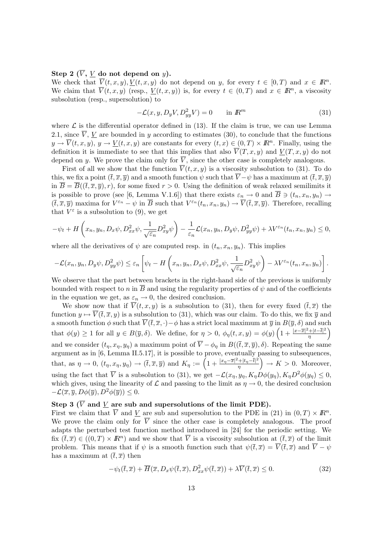## Step 2 ( $\overline{V}$ , V do not depend on y).

We check that  $\overline{V}(t, x, y), \underline{V}(t, x, y)$  do not depend on y, for every  $t \in [0, T)$  and  $x \in \mathbb{R}^n$ . We claim that  $\overline{V}(t,x,y)$  (resp.,  $\underline{V}(t,x,y)$ ) is, for every  $t \in (0,T)$  and  $x \in \mathbb{R}^n$ , a viscosity subsolution (resp., supersolution) to

$$
-\mathcal{L}(x, y, D_y V, D_{yy}^2 V) = 0 \qquad \text{in } \mathbb{R}^m \tag{31}
$$

where  $\mathcal L$  is the differential operator defined in (13). If the claim is true, we can use Lemma 2.1, since  $\overline{V}$ ,  $\underline{V}$  are bounded in y according to estimates (30), to conclude that the functions  $y \to \overline{V}(t,x,y), y \to \underline{V}(t,x,y)$  are constants for every  $(t,x) \in (0,T) \times \mathbb{R}^n$ . Finally, using the definition it is immediate to see that this implies that also  $\overline{V}(T, x, y)$  and  $V(T, x, y)$  do not depend on y. We prove the claim only for  $\overline{V}$ , since the other case is completely analogous.

First of all we show that the function  $\overline{V}(t, x, y)$  is a viscosity subsolution to (31). To do this, we fix a point  $(\bar{t}, \bar{x}, \bar{y})$  and a smooth function  $\psi$  such that  $\bar{V} - \psi$  has a maximum at  $(\bar{t}, \bar{x}, \bar{y})$ in  $\overline{B} = \overline{B}((\overline{t}, \overline{x}, \overline{y}), r)$ , for some fixed  $r > 0$ . Using the definition of weak relaxed semilimits it is possible to prove (see [6, Lemma V.1.6]) that there exists  $\varepsilon_n \to 0$  and  $\overline{B} \ni (t_n, x_n, y_n) \to$  $(\bar{t}, \bar{x}, \bar{y})$  maxima for  $V^{\varepsilon_n} - \psi$  in  $\bar{B}$  such that  $V^{\varepsilon_n}(t_n, x_n, y_n) \to \bar{V}(\bar{t}, \bar{x}, \bar{y})$ . Therefore, recalling that  $V^{\varepsilon}$  is a subsolution to (9), we get

$$
-\psi_t + H\left(x_n, y_n, D_x\psi, D_{xx}^2\psi, \frac{1}{\sqrt{\varepsilon_n}}D_{xy}^2\psi\right) - \frac{1}{\varepsilon_n}\mathcal{L}(x_n, y_n, D_y\psi, D_{yy}^2\psi) + \lambda V^{\varepsilon_n}(t_n, x_n, y_n) \leq 0,
$$

where all the derivatives of  $\psi$  are computed resp. in  $(t_n, x_n, y_n)$ . This implies

$$
-\mathcal{L}(x_n, y_n, D_y\psi, D_{yy}^2\psi) \leq \varepsilon_n \left[ \psi_t - H\left(x_n, y_n, D_x\psi, D_{xx}^2\psi, \frac{1}{\sqrt{\varepsilon_n}} D_{xy}^2\psi\right) - \lambda V^{\varepsilon_n}(t_n, x_n, y_n) \right].
$$

We observe that the part between brackets in the right-hand side of the previous is uniformly bounded with respect to n in  $\overline{B}$  and using the regularity properties of  $\psi$  and of the coefficients in the equation we get, as  $\varepsilon_n \to 0$ , the desired conclusion.

We show now that if  $\overline{V}(t, x, y)$  is a subsolution to (31), then for every fixed  $(\overline{t}, \overline{x})$  the function  $y \mapsto \overline{V}(\overline{t}, \overline{x}, y)$  is a subsolution to (31), which was our claim. To do this, we fix  $\overline{y}$  and a smooth function  $\phi$  such that  $\overline{V}(\overline{t}, \overline{x}, \cdot) - \phi$  has a strict local maximum at  $\overline{y}$  in  $B(\overline{y}, \delta)$  and such that  $\phi(y) \geq 1$  for all  $y \in B(\overline{y}, \delta)$ . We define, for  $\eta > 0$ ,  $\phi_{\eta}(t, x, y) = \phi(y) \left(1 + \frac{|x - \overline{x}|^2 + |t - \overline{t}|^2}{n}\right)$  $rac{|t-t|^2}{\eta}$ and we consider  $(t_{\eta}, x_{\eta}, y_{\eta})$  a maximum point of  $\overline{V} - \phi_{\eta}$  in  $B((\overline{t}, \overline{x}, \overline{y}), \delta)$ . Repeating the same argument as in [6, Lemma II.5.17], it is possible to prove, eventually passing to subsequences, that, as  $\eta \to 0$ ,  $(t_\eta, x_\eta, y_\eta) \to (\bar{t}, \bar{x}, \bar{y})$  and  $K_\eta := \left(1 + \frac{|x_\eta - \bar{x}|^2 + |t_\eta - \bar{t}|^2}{n}\right)$  $\left(\frac{H(t_1-\bar{t})^2}{\eta}\right) \to K > 0$ . Moreover, using the fact that  $\overline{V}$  is a subsolution to (31), we get  $-\mathcal{L}(x_n, y_n, K_n D\phi(y_n), K_n D^2\phi(y_n) \leq 0$ , which gives, using the linearity of  $\mathcal L$  and passing to the limit as  $\eta \to 0$ , the desired conclusion  $-\mathcal{L}(\overline{x}, \overline{y}, D\phi(\overline{y}), D^2\phi(\overline{y})) \leq 0.$ 

# Step 3 ( $\overline{V}$  and  $\underline{V}$  are sub and supersolutions of the limit PDE).

First we claim that  $\overline{V}$  and  $\underline{V}$  are sub and supersolution to the PDE in (21) in  $(0,T) \times \mathbb{R}^n$ . We prove the claim only for  $\overline{V}$  since the other case is completely analogous. The proof adapts the perturbed test function method introduced in [24] for the periodic setting. We fix  $(\bar{t}, \bar{x}) \in ((0, T) \times \mathbb{R}^n)$  and we show that  $\bar{V}$  is a viscosity subsolution at  $(\bar{t}, \bar{x})$  of the limit problem. This means that if  $\psi$  is a smooth function such that  $\psi(\bar{t}, \bar{x}) = \overline{V}(\bar{t}, \bar{x})$  and  $\overline{V} - \psi$ has a maximum at  $(\bar{t}, \bar{x})$  then

$$
-\psi_t(\bar{t},\bar{x}) + \overline{H}(\bar{x}, D_x\psi(\bar{t},\bar{x}), D_{xx}^2\psi(\bar{t},\bar{x})) + \lambda \overline{V}(\bar{t},\bar{x}) \le 0.
$$
\n(32)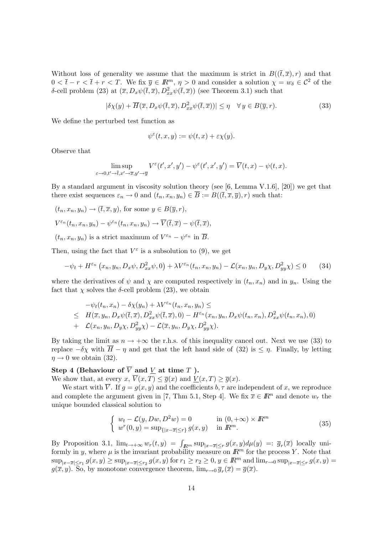Without loss of generality we assume that the maximum is strict in  $B((\bar{t}, \bar{x}), r)$  and that  $0 < \bar{t} - r < \bar{t} + r < T$ . We fix  $\bar{y} \in \mathbb{R}^m$ ,  $\eta > 0$  and consider a solution  $\chi = w_\delta \in \mathcal{C}^2$  of the δ-cell problem (23) at  $(\bar{x}, D_x \psi(\bar{t}, \bar{x}), D_{xx}^2 \psi(\bar{t}, \bar{x}))$  (see Theorem 3.1) such that

$$
|\delta \chi(y) + \overline{H}(\overline{x}, D_x \psi(\overline{t}, \overline{x}), D_{xx}^2 \psi(\overline{t}, \overline{x}))| \le \eta \quad \forall y \in B(\overline{y}, r).
$$
 (33)

We define the perturbed test function as

$$
\psi^{\varepsilon}(t,x,y) := \psi(t,x) + \varepsilon \chi(y).
$$

Observe that

$$
\limsup_{\varepsilon \to 0, t' \to \overline{t}, x' \to \overline{x}, y' \to \overline{y}} V^{\varepsilon}(t', x', y') - \psi^{\varepsilon}(t', x', y') = \overline{V}(t, x) - \psi(t, x).
$$

By a standard argument in viscosity solution theory (see  $[6, \text{Lemma V.1.6}], [20]$ ) we get that there exist sequences  $\varepsilon_n \to 0$  and  $(t_n, x_n, y_n) \in \overline{B} := B((\overline{t}, \overline{x}, \overline{y}), r)$  such that:

$$
(t_n, x_n, y_n) \to (\bar{t}, \bar{x}, y), \text{ for some } y \in B(\bar{y}, r),
$$
  

$$
V^{\varepsilon_n}(t_n, x_n, y_n) - \psi^{\varepsilon_n}(t_n, x_n, y_n) \to \overline{V}(\bar{t}, \bar{x}) - \psi(\bar{t}, \bar{x}),
$$

 $(t_n, x_n, y_n)$  is a strict maximum of  $V^{\varepsilon_n} - \psi^{\varepsilon_n}$  in  $\overline{B}$ .

Then, using the fact that  $V^{\varepsilon}$  is a subsolution to (9), we get

$$
-\psi_t + H^{\varepsilon_n}(x_n, y_n, D_x\psi, D^2_{xx}\psi, 0) + \lambda V^{\varepsilon_n}(t_n, x_n, y_n) - \mathcal{L}(x_n, y_n, D_y\chi, D^2_{yy}\chi) \le 0 \tag{34}
$$

where the derivatives of  $\psi$  and  $\chi$  are computed respectively in  $(t_n, x_n)$  and in  $y_n$ . Using the fact that  $\chi$  solves the  $\delta$ -cell problem (23), we obtain

$$
-\psi_t(t_n, x_n) - \delta \chi(y_n) + \lambda V^{\varepsilon_n}(t_n, x_n, y_n) \le
$$
  
\n
$$
\leq H(\overline{x}, y_n, D_x \psi(\overline{t}, \overline{x}), D_{xx}^2 \psi(\overline{t}, \overline{x}), 0) - H^{\varepsilon_n}(x_n, y_n, D_x \psi(t_n, x_n), D_{xx}^2 \psi(t_n, x_n), 0)
$$
  
\n+  $\mathcal{L}(x_n, y_n, D_y \chi, D_{yy}^2 \chi) - \mathcal{L}(\overline{x}, y_n, D_y \chi, D_{yy}^2 \chi).$ 

By taking the limit as  $n \to +\infty$  the r.h.s. of this inequality cancel out. Next we use (33) to replace  $-\delta\chi$  with  $\overline{H} - \eta$  and get that the left hand side of (32) is  $\leq \eta$ . Finally, by letting  $\eta \rightarrow 0$  we obtain (32).

### Step 4 (Behaviour of  $\overline{V}$  and  $\underline{V}$  at time  $T$ ).

We show that, at every  $x, \overline{V}(x,T) \leq \overline{g}(x)$  and  $\underline{V}(x,T) \geq \overline{g}(x)$ .

We start with  $\overline{V}$ . If  $g = g(x, y)$  and the coefficients  $b, \tau$  are independent of x, we reproduce and complete the argument given in [7, Thm 5.1, Step 4]. We fix  $\overline{x} \in \mathbb{R}^n$  and denote  $w_r$  the unique bounded classical solution to

$$
\begin{cases}\nw_t - \mathcal{L}(y, Dw, D^2w) = 0 & \text{in } (0, +\infty) \times \mathbb{R}^m \\
w^r(0, y) = \sup_{\{|x - \overline{x}| \le r\}} g(x, y) & \text{in } \mathbb{R}^m.\n\end{cases}
$$
\n(35)

By Proposition 3.1,  $\lim_{t\to+\infty}w_r(t,y) = \int_{\mathbb{R}^m} \sup_{|x-\overline{x}| \leq r} g(x,y)d\mu(y) =: \overline{g}_r(\overline{x})$  locally uniformly in y, where  $\mu$  is the invariant probability measure on  $\mathbb{R}^m$  for the process Y. Note that  $\sup_{|x-\overline{x}| \leq r_1} g(x,y) \geq \sup_{|x-\overline{x}| \leq r_2} g(x,y)$  for  $r_1 \geq r_2 \geq 0, y \in \mathbb{R}^m$  and  $\lim_{r \to 0} \sup_{|x-\overline{x}| \leq r} g(x,y) =$  $g(\overline{x}, y)$ . So, by monotone convergence theorem,  $\lim_{r\to 0} \overline{g}_r(\overline{x}) = \overline{g}(\overline{x})$ .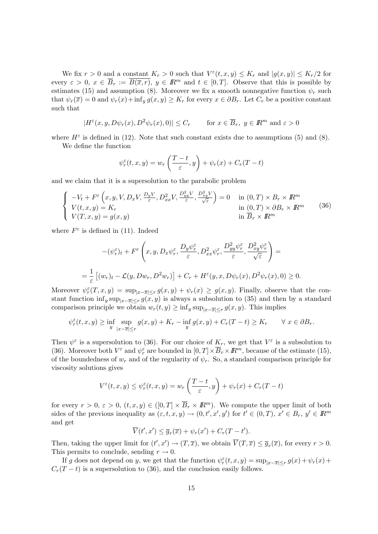We fix  $r > 0$  and a constant  $K_r > 0$  such that  $V^{\varepsilon}(t, x, y) \leq K_r$  and  $|g(x, y)| \leq K_r/2$  for every  $\varepsilon > 0$ ,  $x \in \overline{B}_r := \overline{B(\overline{x},r)}$ ,  $y \in \mathbb{R}^m$  and  $t \in [0,T]$ . Observe that this is possible by estimates (15) and assumption (8). Moreover we fix a smooth nonnegative function  $\psi_r$  such that  $\psi_r(\overline{x}) = 0$  and  $\psi_r(x) + \inf_y g(x, y) \ge K_r$  for every  $x \in \partial B_r$ . Let  $C_r$  be a positive constant such that

$$
|H^{\varepsilon}(x, y, D\psi_r(x), D^2\psi_r(x), 0)| \le C_r \quad \text{for } x \in \overline{B}_r, y \in \mathbb{R}^m \text{ and } \varepsilon > 0
$$

where  $H^{\varepsilon}$  is defined in (12). Note that such constant exists due to assumptions (5) and (8).

We define the function

$$
\psi_r^{\varepsilon}(t,x,y) = w_r\left(\frac{T-t}{\varepsilon},y\right) + \psi_r(x) + C_r(T-t)
$$

and we claim that it is a supersolution to the parabolic problem

$$
\begin{cases}\n-V_t + F^\varepsilon\left(x, y, V, D_x V, \frac{D_y V}{\varepsilon}, D_{xx}^2 V, \frac{D_{yy}^2 V}{\varepsilon}, \frac{D_{xy}^2 V}{\sqrt{\varepsilon}}\right) = 0 & \text{in } (0, T) \times B_r \times I\!\!R^m \\
V(t, x, y) = K_r & \text{in } (0, T) \times \partial B_r \times I\!\!R^m \\
V(T, x, y) = g(x, y) & \text{in } \overline{B}_r \times I\!\!R^m\n\end{cases}
$$
\n(36)

where  $F^{\varepsilon}$  is defined in (11). Indeed

$$
-(\psi_r^{\varepsilon})_t + F^{\varepsilon}\left(x, y, D_x \psi_r^{\varepsilon}, \frac{D_y \psi_r^{\varepsilon}}{\varepsilon}, D_{xx}^2 \psi_r^{\varepsilon}, \frac{D_{yy}^2 \psi_r^{\varepsilon}}{\varepsilon}, \frac{D_{xy}^2 \psi_r^{\varepsilon}}{\sqrt{\varepsilon}}\right) =
$$
  
=  $\frac{1}{\varepsilon} \left[ (w_r)_t - \mathcal{L}(y, Dw_r, D^2 w_r) \right] + C_r + H^{\varepsilon}(y, x, D\psi_r(x), D^2 \psi_r(x), 0) \ge 0.$ 

Moreover  $\psi_r^{\varepsilon}(T, x, y) = \sup_{|x-\overline{x}| \le r} g(x, y) + \psi_r(x) \ge g(x, y)$ . Finally, observe that the constant function  $\inf_y \sup_{|x-\overline{x}| \le r} g(x, y)$  is always a subsolution to (35) and then by a standard comparison principle we obtain  $w_r(t, y) \geq \inf_y \sup_{|x-\overline{x}| \leq r} g(x, y)$ . This implies

$$
\psi_r^{\varepsilon}(t,x,y) \geq \inf_{y} \sup_{|x-\overline{x}| \leq r} g(x,y) + K_r - \inf_{y} g(x,y) + C_r(T-t) \geq K_r \qquad \forall \ x \in \partial B_r.
$$

Then  $\psi^{\varepsilon}$  is a supersolution to (36). For our choice of  $K_r$ , we get that  $V^{\varepsilon}$  is a subsolution to (36). Moreover both  $V^{\varepsilon}$  and  $\psi_r^{\varepsilon}$  are bounded in  $[0,T] \times \overline{B}_r \times I\!\!R^m$ , because of the estimate (15), of the boundedness of  $w_r$  and of the regularity of  $\psi_r$ . So, a standard comparison principle for viscosity solutions gives

$$
V^{\varepsilon}(t,x,y) \leq \psi_r^{\varepsilon}(t,x,y) = w_r\left(\frac{T-t}{\varepsilon},y\right) + \psi_r(x) + C_r(T-t)
$$

for every  $r > 0$ ,  $\varepsilon > 0$ ,  $(t, x, y) \in ([0, T] \times \overline{B}_r \times I\!\!R^m)$ . We compute the upper limit of both sides of the previous inequality as  $(\varepsilon, t, x, y) \to (0, t', x', y')$  for  $t' \in (0, T), x' \in B_r, y' \in \mathbb{R}^m$ and get

$$
\overline{V}(t',x') \leq \overline{g}_r(\overline{x}) + \psi_r(x') + C_r(T-t').
$$

Then, taking the upper limit for  $(t', x') \to (T, \overline{x})$ , we obtain  $\overline{V}(T, \overline{x}) \leq \overline{g}_r(\overline{x})$ , for every  $r > 0$ . This permits to conclude, sending  $r \to 0$ .

If g does not depend on y, we get that the function  $\psi_r^{\varepsilon}(t,x,y) = \sup_{|x-\overline{x}| \le r} g(x) + \psi_r(x) +$  $C_r(T - t)$  is a supersolution to (36), and the conclusion easily follows.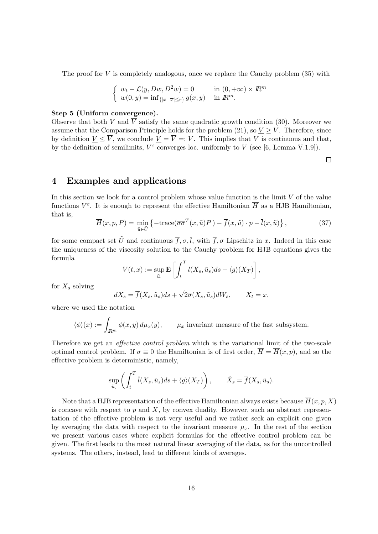The proof for  $V$  is completely analogous, once we replace the Cauchy problem  $(35)$  with

$$
\begin{cases}\nw_t - \mathcal{L}(y, Dw, D^2w) = 0 & \text{in } (0, +\infty) \times \mathbb{R}^m \\
w(0, y) = \inf_{\{|x - \overline{x}| \le r\}} g(x, y) & \text{in } \mathbb{R}^m.\n\end{cases}
$$

#### Step 5 (Uniform convergence).

Observe that both  $\underline{V}$  and  $\overline{V}$  satisfy the same quadratic growth condition (30). Moreover we assume that the Comparison Principle holds for the problem (21), so  $\underline{V} \geq \overline{V}$ . Therefore, since by definition  $\underline{V} \leq \overline{V}$ , we conclude  $\underline{V} = \overline{V} =: V$ . This implies that V is continuous and that, by the definition of semilimits,  $V^{\varepsilon}$  converges loc. uniformly to V (see [6, Lemma V.1.9]).

 $\Box$ 

# 4 Examples and applications

In this section we look for a control problem whose value function is the limit  $V$  of the value functions  $V^{\varepsilon}$ . It is enough to represent the effective Hamiltonian  $\overline{H}$  as a HJB Hamiltonian, that is,

$$
\overline{H}(x, p, P) = \min_{\tilde{u} \in \tilde{U}} \left\{ -\text{trace}(\overline{\sigma}\overline{\sigma}^T(x, \tilde{u})P) - \overline{f}(x, \tilde{u}) \cdot p - \overline{l}(x, \tilde{u}) \right\},\tag{37}
$$

for some compact set  $\tilde{U}$  and continuous  $\overline{f}, \overline{\sigma}, \overline{l}$ , with  $\overline{f}, \overline{\sigma}$  Lipschitz in x. Indeed in this case the uniqueness of the viscosity solution to the Cauchy problem for HJB equations gives the formula

$$
V(t,x) := \sup_{\tilde{u}_s} \mathbf{E} \left[ \int_t^T \overline{l}(X_s, \tilde{u}_s) ds + \langle g \rangle(X_T) \right],
$$

for  $X_s$  solving

$$
dX_s = \overline{f}(X_s, \tilde{u}_s)ds + \sqrt{2\overline{\sigma}}(X_s, \tilde{u}_s)dW_s, \qquad X_t = x,
$$

where we used the notation

$$
\langle \phi \rangle(x) := \int_{\mathbb{R}^m} \phi(x, y) d\mu_x(y), \qquad \mu_x
$$
 invariant measure of the fast subsystem.

Therefore we get an *effective control problem* which is the variational limit of the two-scale optimal control problem. If  $\sigma \equiv 0$  the Hamiltonian is of first order,  $\overline{H} = \overline{H}(x, p)$ , and so the effective problem is deterministic, namely,

$$
\sup_{\tilde{u}} \left( \int_t^T \overline{l}(X_s, \tilde{u}_s) ds + \langle g \rangle(X_T) \right), \qquad \dot{X}_s = \overline{f}(X_s, \tilde{u}_s).
$$

Note that a HJB representation of the effective Hamiltonian always exists because  $\overline{H}(x, p, X)$ is concave with respect to  $p$  and  $X$ , by convex duality. However, such an abstract representation of the effective problem is not very useful and we rather seek an explicit one given by averaging the data with respect to the invariant measure  $\mu_x$ . In the rest of the section we present various cases where explicit formulas for the effective control problem can be given. The first leads to the most natural linear averaging of the data, as for the uncontrolled systems. The others, instead, lead to different kinds of averages.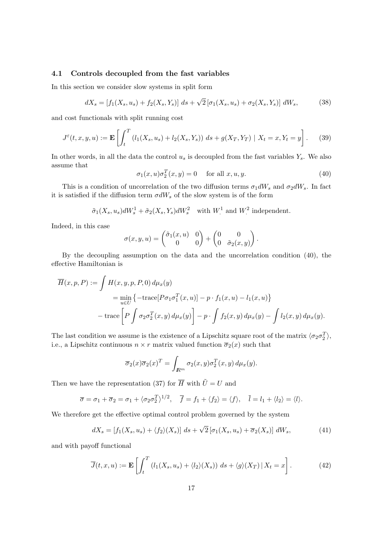### 4.1 Controls decoupled from the fast variables

In this section we consider slow systems in split form

$$
dX_s = [f_1(X_s, u_s) + f_2(X_s, Y_s)] ds + \sqrt{2} [\sigma_1(X_s, u_s) + \sigma_2(X_s, Y_s)] dW_s, \tag{38}
$$

and cost functionals with split running cost

$$
J^{\varepsilon}(t, x, y, u) := \mathbf{E} \left[ \int_{t}^{T} \left( l_1(X_s, u_s) + l_2(X_s, Y_s) \right) ds + g(X_T, Y_T) \mid X_t = x, Y_t = y \right]. \tag{39}
$$

In other words, in all the data the control  $u_s$  is decoupled from the fast variables  $Y_s$ . We also assume that

 $\sigma_1(x, u)\sigma_2^T(x, y) = 0$  for all  $x, u, y$ . (40)

This is a condition of uncorrelation of the two diffusion terms  $\sigma_1 dW_s$  and  $\sigma_2 dW_s$ . In fact it is satisfied if the diffusion term  $\sigma dW_s$  of the slow system is of the form

$$
\tilde{\sigma}_1(X_s, u_s)dW_s^1 + \tilde{\sigma}_2(X_s, Y_s)dW_s^2
$$
 with  $W^1$  and  $W^2$  independent.

Indeed, in this case

$$
\sigma(x,y,u) = \begin{pmatrix} \tilde{\sigma}_1(x,u) & 0 \\ 0 & 0 \end{pmatrix} + \begin{pmatrix} 0 & 0 \\ 0 & \tilde{\sigma}_2(x,y) \end{pmatrix}.
$$

By the decoupling assumption on the data and the uncorrelation condition (40), the effective Hamiltonian is

$$
\overline{H}(x, p, P) := \int H(x, y, p, P, 0) d\mu_x(y)
$$
\n
$$
= \min_{u \in U} \left\{ -\text{trace}[P\sigma_1\sigma_1^T(x, u)] - p \cdot f_1(x, u) - l_1(x, u) \right\}
$$
\n
$$
- \text{trace}\left[P \int \sigma_2\sigma_2^T(x, y) d\mu_x(y)\right] - p \cdot \int f_2(x, y) d\mu_x(y) - \int l_2(x, y) d\mu_x(y).
$$

The last condition we assume is the existence of a Lipschitz square root of the matrix  $\langle \sigma_2 \sigma_2^T \rangle$ , i.e., a Lipschitz continuous  $n \times r$  matrix valued function  $\overline{\sigma}_2(x)$  such that

$$
\overline{\sigma}_2(x)\overline{\sigma}_2(x)^T = \int_{\mathbb{R}^m} \sigma_2(x, y)\sigma_2^T(x, y) d\mu_x(y).
$$

Then we have the representation (37) for  $\overline{H}$  with  $\tilde{U} = U$  and

$$
\overline{\sigma} = \sigma_1 + \overline{\sigma}_2 = \sigma_1 + \langle \sigma_2 \sigma_2^T \rangle^{1/2}, \quad \overline{f} = f_1 + \langle f_2 \rangle = \langle f \rangle, \quad \overline{l} = l_1 + \langle l_2 \rangle = \langle l \rangle.
$$

We therefore get the effective optimal control problem governed by the system

$$
dX_s = [f_1(X_s, u_s) + \langle f_2 \rangle(X_s)] ds + \sqrt{2} [\sigma_1(X_s, u_s) + \overline{\sigma}_2(X_s)] dW_s, \tag{41}
$$

and with payoff functional

$$
\overline{J}(t,x,u) := \mathbf{E}\left[\int_t^T \left(l_1(X_s, u_s) + \langle l_2 \rangle(X_s)\right) ds + \langle g \rangle(X_T) \, | \, X_t = x\right].\tag{42}
$$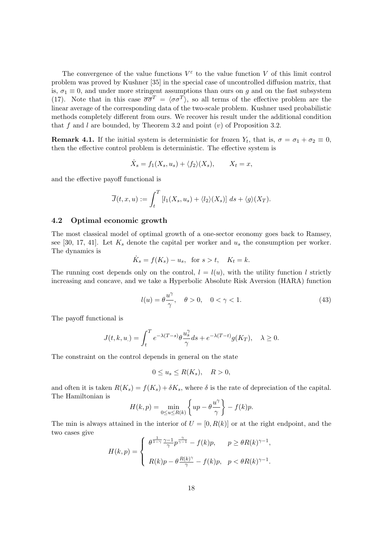The convergence of the value functions  $V^{\varepsilon}$  to the value function V of this limit control problem was proved by Kushner [35] in the special case of uncontrolled diffusion matrix, that is,  $\sigma_1 \equiv 0$ , and under more stringent assumptions than ours on g and on the fast subsystem (17). Note that in this case  $\overline{\sigma}\overline{\sigma}^T = \langle \sigma \sigma^T \rangle$ , so all terms of the effective problem are the linear average of the corresponding data of the two-scale problem. Kushner used probabilistic methods completely different from ours. We recover his result under the additional condition that f and l are bounded, by Theorem 3.2 and point  $(v)$  of Proposition 3.2.

**Remark 4.1.** If the initial system is deterministic for frozen  $Y_t$ , that is,  $\sigma = \sigma_1 + \sigma_2 \equiv 0$ , then the effective control problem is deterministic. The effective system is

$$
\dot{X}_s = f_1(X_s, u_s) + \langle f_2 \rangle(X_s), \qquad X_t = x,
$$

and the effective payoff functional is

$$
\overline{J}(t,x,u) := \int_t^T \left[ l_1(X_s, u_s) + \langle l_2 \rangle(X_s) \right] ds + \langle g \rangle(X_T).
$$

#### 4.2 Optimal economic growth

The most classical model of optimal growth of a one-sector economy goes back to Ramsey, see [30, 17, 41]. Let  $K_s$  denote the capital per worker and  $u_s$  the consumption per worker. The dynamics is

$$
\dot{K}_s = f(K_s) - u_s, \text{ for } s > t, \quad K_t = k.
$$

The running cost depends only on the control,  $l = l(u)$ , with the utility function l strictly increasing and concave, and we take a Hyperbolic Absolute Risk Aversion (HARA) function

$$
l(u) = \theta \frac{u^{\gamma}}{\gamma}, \quad \theta > 0, \quad 0 < \gamma < 1.
$$
 (43)

The payoff functional is

$$
J(t,k,u_{\cdot})=\int_{t}^{T}e^{-\lambda(T-s)}\theta \frac{u_{s}^{\gamma}}{\gamma}ds+e^{-\lambda(T-t)}g(K_{T}),\quad\lambda\geq0.
$$

The constraint on the control depends in general on the state

$$
0 \le u_s \le R(K_s), \quad R > 0,
$$

and often it is taken  $R(K_s) = f(K_s) + \delta K_s$ , where  $\delta$  is the rate of depreciation of the capital. The Hamiltonian is

$$
H(k,p) = \min_{0 \le u \le R(k)} \left\{ up - \theta \frac{u^{\gamma}}{\gamma} \right\} - f(k)p.
$$

The min is always attained in the interior of  $U = [0, R(k)]$  or at the right endpoint, and the two cases give

$$
H(k,p) = \begin{cases} \theta^{\frac{1}{1-\gamma}} \frac{\gamma - 1}{\gamma} p^{\frac{\gamma}{\gamma - 1}} - f(k)p, & p \ge \theta R(k)^{\gamma - 1}, \\ R(k)p - \theta \frac{R(k)^{\gamma}}{\gamma} - f(k)p, & p < \theta R(k)^{\gamma - 1}. \end{cases}
$$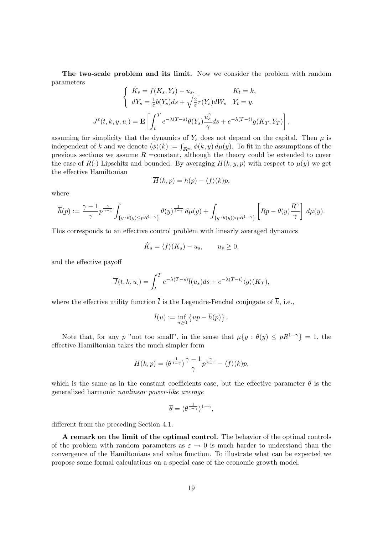The two-scale problem and its limit. Now we consider the problem with random parameters

$$
\begin{cases}\n\dot{K}_s = f(K_s, Y_s) - u_s, & K_t = k, \\
dY_s = \frac{1}{\varepsilon} b(Y_s) ds + \sqrt{\frac{2}{\varepsilon}} \tau(Y_s) dW_s & Y_t = y, \\
J^{\varepsilon}(t, k, y, u_{\cdot}) = \mathbf{E} \left[ \int_t^T e^{-\lambda(T-s)} \theta(Y_s) \frac{u_s^{\gamma}}{\gamma} ds + e^{-\lambda(T-t)} g(K_T, Y_T) \right],\n\end{cases}
$$

assuming for simplicity that the dynamics of  $Y_s$  does not depend on the capital. Then  $\mu$  is independent of k and we denote  $\langle \phi \rangle(k) := \int_{\mathbb{R}^m} \phi(k, y) d\mu(y)$ . To fit in the assumptions of the previous sections we assume  $R = constant$ , although the theory could be extended to cover the case of  $R(\cdot)$  Lipschitz and bounded. By averaging  $H(k, y, p)$  with respect to  $\mu(y)$  we get the effective Hamiltonian

$$
\overline{H}(k, p) = \overline{h}(p) - \langle f \rangle(k)p,
$$

where

$$
\overline{h}(p) := \frac{\gamma - 1}{\gamma} p^{\frac{\gamma}{\gamma - 1}} \int_{\{y\,:\,\theta(y)\le pR^{1-\gamma}\}} \theta(y)^{\frac{1}{1-\gamma}} \,d\mu(y) + \int_{\{y\,:\,\theta(y)> pR^{1-\gamma}\}} \left[ Rp - \theta(y) \frac{R^{\gamma}}{\gamma} \right] \,d\mu(y).
$$

This corresponds to an effective control problem with linearly averaged dynamics

$$
\dot{K}_s = \langle f \rangle (K_s) - u_s, \qquad u_s \ge 0,
$$

and the effective payoff

$$
\overline{J}(t,k,u_{.})=\int_{t}^{T}e^{-\lambda(T-s)}\overline{l}(u_{s})ds+e^{-\lambda(T-t)}\langle g\rangle(K_{T}),
$$

where the effective utility function  $\overline{l}$  is the Legendre-Fenchel conjugate of  $\overline{h}$ , i.e.,

$$
\bar{l}(u) := \inf_{u \geq 0} \left\{ up - \overline{h}(p) \right\}.
$$

Note that, for any p "not too small", in the sense that  $\mu\{y : \theta(y) \leq pR^{1-\gamma}\} = 1$ , the effective Hamiltonian takes the much simpler form

$$
\overline{H}(k,p)=\langle\theta^{\frac{1}{1-\gamma}}\rangle\frac{\gamma-1}{\gamma}p^{\frac{\gamma}{\gamma-1}}-\langle f\rangle(k)p,
$$

which is the same as in the constant coefficients case, but the effective parameter  $\bar{\theta}$  is the generalized harmonic nonlinear power-like average

$$
\overline{\theta} = \langle \theta^{\frac{1}{1-\gamma}} \rangle^{1-\gamma},
$$

different from the preceding Section 4.1.

A remark on the limit of the optimal control. The behavior of the optimal controls of the problem with random parameters as  $\varepsilon \to 0$  is much harder to understand than the convergence of the Hamiltonians and value function. To illustrate what can be expected we propose some formal calculations on a special case of the economic growth model.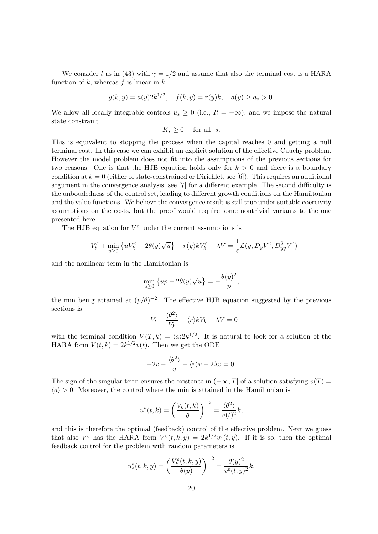We consider l as in (43) with  $\gamma = 1/2$  and assume that also the terminal cost is a HARA function of  $k$ , whereas  $f$  is linear in  $k$ 

$$
g(k, y) = a(y)2k^{1/2}
$$
,  $f(k, y) = r(y)k$ ,  $a(y) \ge a_o > 0$ .

We allow all locally integrable controls  $u_s \geq 0$  (i.e.,  $R = +\infty$ ), and we impose the natural state constraint

$$
K_s \ge 0 \quad \text{ for all } s.
$$

This is equivalent to stopping the process when the capital reaches 0 and getting a null terminal cost. In this case we can exhibit an explicit solution of the effective Cauchy problem. However the model problem does not fit into the assumptions of the previous sections for two reasons. One is that the HJB equation holds only for  $k > 0$  and there is a boundary condition at  $k = 0$  (either of state-constrained or Dirichlet, see [6]). This requires an additional argument in the convergence analysis, see [7] for a different example. The second difficulty is the unboudedness of the control set, leading to different growth conditions on the Hamiltonian and the value functions. We believe the convergence result is still true under suitable coercivity assumptions on the costs, but the proof would require some nontrivial variants to the one presented here.

The HJB equation for  $V^{\varepsilon}$  under the current assumptions is

$$
-V_t^{\varepsilon} + \min_{u \ge 0} \left\{ u V_k^{\varepsilon} - 2\theta(y)\sqrt{u} \right\} - r(y)kV_k^{\varepsilon} + \lambda V = \frac{1}{\varepsilon} \mathcal{L}(y, D_y V^{\varepsilon}, D_{yy}^2 V^{\varepsilon})
$$

and the nonlinear term in the Hamiltonian is

$$
\min_{u \ge 0} \left\{ up - 2\theta(y)\sqrt{u} \right\} = -\frac{\theta(y)^2}{p},
$$

the min being attained at  $(p/\theta)^{-2}$ . The effective HJB equation suggested by the previous sections is

$$
-V_t - \frac{\langle \theta^2 \rangle}{V_k} - \langle r \rangle k V_k + \lambda V = 0
$$

with the terminal condition  $V(T, k) = \langle a \rangle 2k^{1/2}$ . It is natural to look for a solution of the HARA form  $V(t, k) = 2k^{1/2}v(t)$ . Then we get the ODE

$$
-2\dot{v} - \frac{\langle \theta^2 \rangle}{v} - \langle r \rangle v + 2\lambda v = 0.
$$

The sign of the singular term ensures the existence in  $(-\infty, T]$  of a solution satisfying  $v(T) =$  $\langle a \rangle > 0$ . Moreover, the control where the min is attained in the Hamiltonian is

$$
u^*(t,k) = \left(\frac{V_k(t,k)}{\overline{\theta}}\right)^{-2} = \frac{\langle \theta^2 \rangle}{v(t)^2}k,
$$

and this is therefore the optimal (feedback) control of the effective problem. Next we guess that also  $V^{\varepsilon}$  has the HARA form  $V^{\varepsilon}(t, k, y) = 2k^{1/2}v^{\varepsilon}(t, y)$ . If it is so, then the optimal feedback control for the problem with random parameters is

$$
u_{\varepsilon}^*(t,k,y) = \left(\frac{V_k^{\varepsilon}(t,k,y)}{\theta(y)}\right)^{-2} = \frac{\theta(y)^2}{v^{\varepsilon}(t,y)^2}k.
$$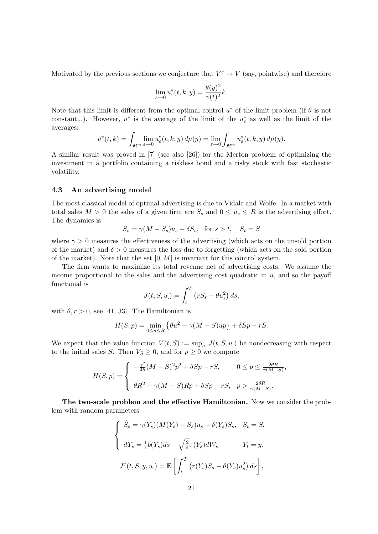Motivated by the previous sections we conjecture that  $V^{\varepsilon} \to V$  (say, pointwise) and therefore

$$
\lim_{\varepsilon \to 0} u_{\varepsilon}^*(t, k, y) = \frac{\theta(y)^2}{v(t)^2} k.
$$

Note that this limit is different from the optimal control  $u^*$  of the limit problem (if  $\theta$  is not constant...). However,  $u^*$  is the average of the limit of the  $u_{\varepsilon}^*$  as well as the limit of the averages:

$$
u^*(t,k) = \int_{\mathbb{R}^m} \lim_{\varepsilon \to 0} u^*_{\varepsilon}(t,k,y) d\mu(y) = \lim_{\varepsilon \to 0} \int_{\mathbb{R}^m} u^*_{\varepsilon}(t,k,y) d\mu(y).
$$

A similar result was proved in [7] (see also [26]) for the Merton problem of optimizing the investment in a portfolio containing a riskless bond and a risky stock with fast stochastic volatility.

#### 4.3 An advertising model

The most classical model of optimal advertising is due to Vidale and Wolfe. In a market with total sales  $M > 0$  the sales of a given firm are  $S_s$  and  $0 \le u_s \le R$  is the advertising effort. The dynamics is

$$
\dot{S}_s = \gamma (M - S_s) u_s - \delta S_s, \text{ for } s > t, S_t = S
$$

where  $\gamma > 0$  measures the effectiveness of the advertising (which acts on the unsold portion of the market) and  $\delta > 0$  measures the loss due to forgetting (which acts on the sold portion of the market). Note that the set  $[0, M]$  is invariant for this control system.

The firm wants to maximize its total revenue net of advertising costs. We assume the income proportional to the sales and the advertising cost quadratic in  $u$ , and so the payoff functional is

$$
J(t, S, u_{.}) = \int_{t}^{T} (rS_s - \theta u_s^2) ds,
$$

with  $\theta$ ,  $r > 0$ , see [41, 33]. The Hamiltonian is

$$
H(S,p) = \min_{0 \le u \le R} \left\{ \theta u^2 - \gamma (M - S)up \right\} + \delta Sp - rS.
$$

We expect that the value function  $V(t, S) := \sup_u J(t, S, u)$  be nondecreasing with respect to the initial sales S. Then  $V_S \geq 0$ , and for  $p \geq 0$  we compute

$$
H(S,p) = \begin{cases} -\frac{\gamma^2}{4\theta}(M-S)^2p^2 + \delta Sp - rS, & 0 \le p \le \frac{2\theta R}{\gamma(M-S)},\\ \theta R^2 - \gamma(M-S)Rp + \delta Sp - rS, & p > \frac{2\theta R}{\gamma(M-S)}. \end{cases}
$$

The two-scale problem and the effective Hamiltonian. Now we consider the problem with random parameters

$$
\begin{cases}\n\dot{S}_s = \gamma(Y_s)(M(Y_s) - S_s)u_s - \delta(Y_s)S_s, & S_t = S, \\
dY_s = \frac{1}{\varepsilon}b(Y_s)ds + \sqrt{\frac{2}{\varepsilon}}\tau(Y_s)dW_s & Y_t = y, \\
J^{\varepsilon}(t, S, y, u_{\cdot}) = \mathbf{E}\left[\int_t^T \left(r(Y_s)S_s - \theta(Y_s)u_s^2\right)ds\right],\n\end{cases}
$$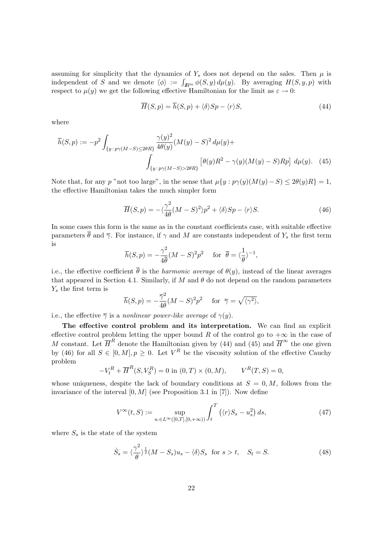assuming for simplicity that the dynamics of  $Y_s$  does not depend on the sales. Then  $\mu$  is independent of S and we denote  $\langle \phi \rangle := \int_{\mathbb{R}^m} \phi(S, y) d\mu(y)$ . By averaging  $H(S, y, p)$  with respect to  $\mu(y)$  we get the following effective Hamiltonian for the limit as  $\varepsilon \to 0$ :

$$
\overline{H}(S,p) = \overline{h}(S,p) + \langle \delta \rangle Sp - \langle r \rangle S, \tag{44}
$$

where

$$
\overline{h}(S,p) := -p^2 \int_{\{y \,:\, p\gamma(M-S) \le 2\theta R\}} \frac{\gamma(y)^2}{4\theta(y)} (M(y) - S)^2 d\mu(y) + \int_{\{y \,:\, p\gamma(M-S) > 2\theta R\}} \left[\theta(y)R^2 - \gamma(y)(M(y) - S)Rp\right] d\mu(y). \tag{45}
$$

Note that, for any p "not too large", in the sense that  $\mu\{y: p\gamma(y)(M(y)-S) \leq 2\theta(y)R\} = 1$ , the effective Hamiltonian takes the much simpler form

$$
\overline{H}(S,p) = -\langle \frac{\gamma^2}{4\theta} (M-S)^2 \rangle p^2 + \langle \delta \rangle Sp - \langle r \rangle S. \tag{46}
$$

In some cases this form is the same as in the constant coefficients case, with suitable effective parameters  $\bar{\theta}$  and  $\bar{\gamma}$ . For instance, if  $\gamma$  and M are constants independent of  $Y_s$  the first term is

$$
\overline{h}(S,p) = -\frac{\gamma^2}{4\overline{\theta}}(M-S)^2p^2 \quad \text{ for } \overline{\theta} = \langle \frac{1}{\theta} \rangle^{-1},
$$

i.e., the effective coefficient  $\bar{\theta}$  is the *harmonic average* of  $\theta(y)$ , instead of the linear averages that appeared in Section 4.1. Similarly, if M and  $\theta$  do not depend on the random parameters  $Y_s$  the first term is

$$
\overline{h}(S,p) = -\frac{\overline{\gamma}^2}{4\theta}(M-S)^2p^2 \quad \text{for } \overline{\gamma} = \sqrt{\langle \gamma^2 \rangle},
$$

i.e., the effective  $\overline{\gamma}$  is a nonlinear power-like average of  $\gamma(y)$ .

The effective control problem and its interpretation. We can find an explicit effective control problem letting the upper bound R of the control go to  $+\infty$  in the case of M constant. Let  $\overline{H}^R$  denote the Hamiltonian given by (44) and (45) and  $\overline{H}^{\infty}$  the one given by (46) for all  $S \in [0, M], p \ge 0$ . Let  $V^R$  be the viscosity solution of the effective Cauchy problem

$$
-V_t^R + \overline{H}^R(S, V_S^R) = 0 \text{ in } (0, T) \times (0, M), \qquad V^R(T, S) = 0,
$$

whose uniqueness, despite the lack of boundary conditions at  $S = 0, M$ , follows from the invariance of the interval  $[0, M]$  (see Proposition 3.1 in [7]). Now define

$$
V^{\infty}(t,S) := \sup_{u \in L^{\infty}([0,T],[0,+\infty))} \int_{t}^{T} \left( \langle r \rangle S_s - u_s^2 \right) ds,
$$
\n(47)

where  $S_s$  is the state of the system

$$
\dot{S}_s = \langle \frac{\gamma^2}{\theta} \rangle^{\frac{1}{2}} (M - S_s) u_s - \langle \delta \rangle S_s \text{ for } s > t, \quad S_t = S. \tag{48}
$$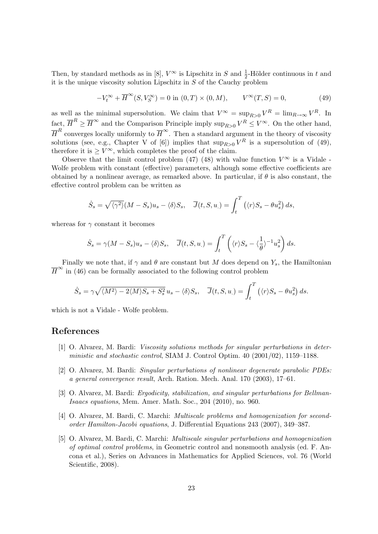Then, by standard methods as in [8],  $V^{\infty}$  is Lipschitz in S and  $\frac{1}{2}$ -Hölder continuous in t and it is the unique viscosity solution Lipschitz in  $S$  of the Cauchy problem

$$
-V_t^{\infty} + \overline{H}^{\infty}(S, V_S^{\infty}) = 0 \text{ in } (0, T) \times (0, M), \qquad V^{\infty}(T, S) = 0,
$$
\n(49)

as well as the minimal supersolution. We claim that  $V^{\infty} = \sup_{R>0} V^R = \lim_{R\to\infty} V^R$ . In fact,  $\overline{H}^R \geq \overline{H}^{\infty}$  and the Comparison Principle imply  $\sup_{R>0} V^R \leq V^{\infty}$ . On the other hand,  $\overline{H}^R$  converges locally uniformly to  $\overline{H}^{\infty}$ . Then a standard argument in the theory of viscosity solutions (see, e.g., Chapter V of [6]) implies that  $\sup_{R>0} V^R$  is a supersolution of (49), therefore it is  $\geq V^{\infty}$ , which completes the proof of the claim.

Observe that the limit control problem (47) (48) with value function  $V^{\infty}$  is a Vidale -Wolfe problem with constant (effective) parameters, although some effective coefficients are obtained by a nonlinear average, as remarked above. In particular, if  $\theta$  is also constant, the effective control problem can be written as

$$
\dot{S}_s = \sqrt{\langle \gamma^2 \rangle} (M - S_s) u_s - \langle \delta \rangle S_s, \quad \overline{J}(t, S, u) = \int_t^T (\langle r \rangle S_s - \theta u_s^2) ds,
$$

whereas for  $\gamma$  constant it becomes

$$
\dot{S}_s = \gamma (M - S_s) u_s - \langle \delta \rangle S_s, \quad \overline{J}(t, S, u_{.}) = \int_t^T \left( \langle r \rangle S_s - \langle \frac{1}{\theta} \rangle^{-1} u_s^2 \right) ds.
$$

Finally we note that, if  $\gamma$  and  $\theta$  are constant but M does depend on  $Y_s$ , the Hamiltonian  $\overline{H}^{\infty}$  in (46) can be formally associated to the following control problem

$$
\dot{S}_s = \gamma \sqrt{\langle M^2 \rangle - 2 \langle M \rangle S_s + S_s^2} u_s - \langle \delta \rangle S_s, \quad \overline{J}(t, S, u_{.}) = \int_t^T \left( \langle r \rangle S_s - \theta u_s^2 \right) ds.
$$

which is not a Vidale - Wolfe problem.

# References

- [1] O. Alvarez, M. Bardi: Viscosity solutions methods for singular perturbations in deterministic and stochastic control, SIAM J. Control Optim. 40 (2001/02), 1159–1188.
- [2] O. Alvarez, M. Bardi: Singular perturbations of nonlinear degenerate parabolic PDEs: a general convergence result, Arch. Ration. Mech. Anal. 170 (2003), 17–61.
- [3] O. Alvarez, M. Bardi: Ergodicity, stabilization, and singular perturbations for Bellman-Isaacs equations, Mem. Amer. Math. Soc., 204 (2010), no. 960.
- [4] O. Alvarez, M. Bardi, C. Marchi: Multiscale problems and homogenization for secondorder Hamilton-Jacobi equations, J. Differential Equations 243 (2007), 349–387.
- [5] O. Alvarez, M. Bardi, C. Marchi: Multiscale singular perturbations and homogenization of optimal control problems, in Geometric control and nonsmooth analysis (ed. F. Ancona et al.), Series on Advances in Mathematics for Applied Sciences, vol. 76 (World Scientific, 2008).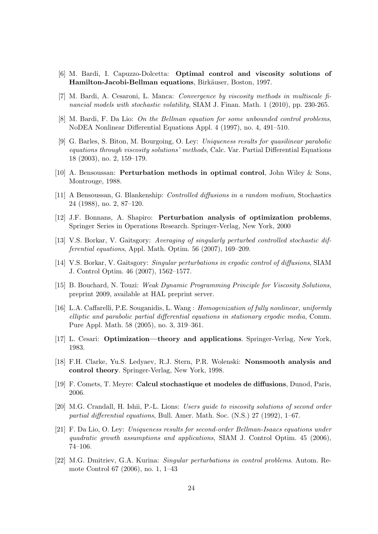- [6] M. Bardi, I. Capuzzo-Dolcetta: Optimal control and viscosity solutions of Hamilton-Jacobi-Bellman equations, Birkäuser, Boston, 1997.
- [7] M. Bardi, A. Cesaroni, L. Manca: Convergence by viscosity methods in multiscale financial models with stochastic volatility, SIAM J. Finan. Math. 1 (2010), pp. 230-265.
- [8] M. Bardi, F. Da Lio: On the Bellman equation for some unbounded control problems, NoDEA Nonlinear Differential Equations Appl. 4 (1997), no. 4, 491–510.
- [9] G. Barles, S. Biton, M. Bourgoing, O. Ley: Uniqueness results for quasilinear parabolic equations through viscosity solutions' methods, Calc. Var. Partial Differential Equations 18 (2003), no. 2, 159–179.
- [10] A. Bensoussan: Perturbation methods in optimal control, John Wiley & Sons, Montrouge, 1988.
- [11] A Bensoussan, G. Blankenship: Controlled diffusions in a random medium, Stochastics 24 (1988), no. 2, 87–120.
- [12] J.F. Bonnans, A. Shapiro: Perturbation analysis of optimization problems, Springer Series in Operations Research. Springer-Verlag, New York, 2000
- [13] V.S. Borkar, V. Gaitsgory: Averaging of singularly perturbed controlled stochastic differential equations, Appl. Math. Optim. 56 (2007), 169–209.
- [14] V.S. Borkar, V. Gaitsgory: Singular perturbations in ergodic control of diffusions, SIAM J. Control Optim. 46 (2007), 1562–1577.
- [15] B. Bouchard, N. Touzi: Weak Dynamic Programming Principle for Viscosity Solutions, preprint 2009, available at HAL preprint server.
- [16] L.A. Caffarelli, P.E. Souganidis, L. Wang : Homogenization of fully nonlinear, uniformly elliptic and parabolic partial differential equations in stationary ergodic media, Comm. Pure Appl. Math. 58 (2005), no. 3, 319–361.
- [17] L. Cesari: Optimization—theory and applications. Springer-Verlag, New York, 1983.
- [18] F.H. Clarke, Yu.S. Ledyaev, R.J. Stern, P.R. Wolenski: Nonsmooth analysis and control theory. Springer-Verlag, New York, 1998.
- [19] F. Comets, T. Meyre: Calcul stochastique et modeles de diffusions, Dunod, Paris, 2006.
- [20] M.G. Crandall, H. Ishii, P.-L. Lions: Users guide to viscosity solutions of second order partial differential equations, Bull. Amer. Math. Soc. (N.S.) 27 (1992), 1–67.
- [21] F. Da Lio, O. Ley: Uniqueness results for second-order Bellman-Isaacs equations under quadratic growth assumptions and applications, SIAM J. Control Optim. 45 (2006), 74–106.
- [22] M.G. Dmitriev, G.A. Kurina: Singular perturbations in control problems. Autom. Remote Control 67 (2006), no. 1, 1–43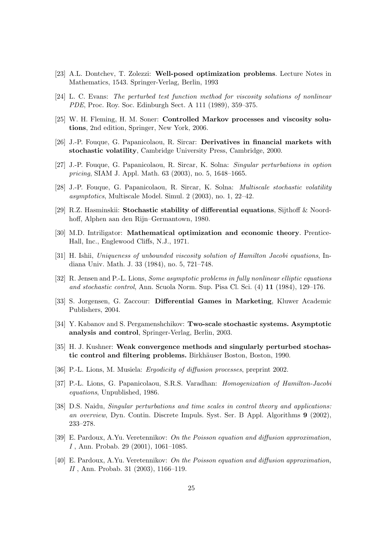- [23] A.L. Dontchev, T. Zolezzi: Well-posed optimization problems. Lecture Notes in Mathematics, 1543. Springer-Verlag, Berlin, 1993
- [24] L. C. Evans: The perturbed test function method for viscosity solutions of nonlinear PDE, Proc. Roy. Soc. Edinburgh Sect. A 111 (1989), 359–375.
- [25] W. H. Fleming, H. M. Soner: Controlled Markov processes and viscosity solutions, 2nd edition, Springer, New York, 2006.
- [26] J.-P. Fouque, G. Papanicolaou, R. Sircar: Derivatives in financial markets with stochastic volatility, Cambridge University Press, Cambridge, 2000.
- [27] J.-P. Fouque, G. Papanicolaou, R. Sircar, K. Solna: Singular perturbations in option pricing, SIAM J. Appl. Math. 63 (2003), no. 5, 1648–1665.
- [28] J.-P. Fouque, G. Papanicolaou, R. Sircar, K. Solna: Multiscale stochastic volatility asymptotics, Multiscale Model. Simul. 2 (2003), no. 1, 22–42.
- [29] R.Z. Hasminskii: Stochastic stability of differential equations, Sijthoff & Noordhoff, Alphen aan den Rijn–Germantown, 1980.
- [30] M.D. Intriligator: Mathematical optimization and economic theory. Prentice-Hall, Inc., Englewood Cliffs, N.J., 1971.
- [31] H. Ishii, Uniqueness of unbounded viscosity solution of Hamilton Jacobi equations, Indiana Univ. Math. J. 33 (1984), no. 5, 721–748.
- [32] R. Jensen and P.-L. Lions, Some asymptotic problems in fully nonlinear elliptic equations and stochastic control, Ann. Scuola Norm. Sup. Pisa Cl. Sci. (4) 11 (1984), 129–176.
- [33] S. Jorgensen, G. Zaccour: Differential Games in Marketing, Kluwer Academic Publishers, 2004.
- [34] Y. Kabanov and S. Pergamenshchikov: Two-scale stochastic systems. Asymptotic analysis and control, Springer-Verlag, Berlin, 2003.
- [35] H. J. Kushner: Weak convergence methods and singularly perturbed stochastic control and filtering problems. Birkhäuser Boston, Boston, 1990.
- [36] P.-L. Lions, M. Musiela: Ergodicity of diffusion processes, preprint 2002.
- [37] P.-L. Lions, G. Papanicolaou, S.R.S. Varadhan: Homogenization of Hamilton-Jacobi equations, Unpublished, 1986.
- [38] D.S. Naidu, Singular perturbations and time scales in control theory and applications: an overview, Dyn. Contin. Discrete Impuls. Syst. Ser. B Appl. Algorithms 9 (2002), 233–278.
- [39] E. Pardoux, A.Yu. Veretennikov: On the Poisson equation and diffusion approximation, I , Ann. Probab. 29 (2001), 1061–1085.
- [40] E. Pardoux, A.Yu. Veretennikov: On the Poisson equation and diffusion approximation, II , Ann. Probab. 31 (2003), 1166–119.